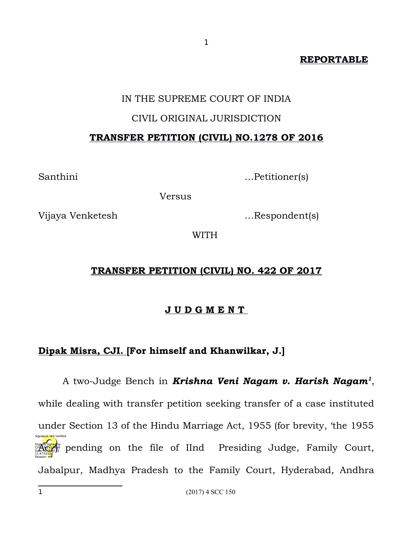## **REPORTABLE**

### IN THE SUPREME COURT OF INDIA

1

### CIVIL ORIGINAL JURISDICTION

### **TRANSFER PETITION (CIVIL) NO.1278 OF 2016**

Santhini …Petitioner(s)

Versus

Vijaya Venketesh …Respondent(s)

WITH

### **TRANSFER PETITION (CIVIL) NO. 422 OF 2017**

### **J U D G M E N T**

## **Dipak Misra, CJI. [For himself and Khanwilkar, J.]**

<span id="page-0-0"></span>A two-Judge Bench in *Krishna Veni Nagam v. Harish Nagam[1](#page-0-0)* , while dealing with transfer petition seeking transfer of a case instituted under Section 13 of the Hindu Marriage Act, 1955 (for brevity, 'the 1955 **Action** pending on the file of IInd Presiding Judge, Family Court, Jabalpur, Madhya Pradesh to the Family Court, Hyderabad, Andhra 11:47:53 IST Reason: Signature Not Verified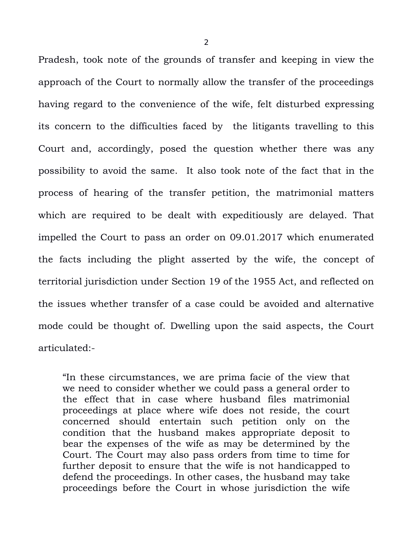Pradesh, took note of the grounds of transfer and keeping in view the approach of the Court to normally allow the transfer of the proceedings having regard to the convenience of the wife, felt disturbed expressing its concern to the difficulties faced by the litigants travelling to this Court and, accordingly, posed the question whether there was any possibility to avoid the same. It also took note of the fact that in the process of hearing of the transfer petition, the matrimonial matters which are required to be dealt with expeditiously are delayed. That impelled the Court to pass an order on 09.01.2017 which enumerated the facts including the plight asserted by the wife, the concept of territorial jurisdiction under Section 19 of the 1955 Act, and reflected on the issues whether transfer of a case could be avoided and alternative mode could be thought of. Dwelling upon the said aspects, the Court articulated:-

"In these circumstances, we are prima facie of the view that we need to consider whether we could pass a general order to the effect that in case where husband files matrimonial proceedings at place where wife does not reside, the court concerned should entertain such petition only on the condition that the husband makes appropriate deposit to bear the expenses of the wife as may be determined by the Court. The Court may also pass orders from time to time for further deposit to ensure that the wife is not handicapped to defend the proceedings. In other cases, the husband may take proceedings before the Court in whose jurisdiction the wife

2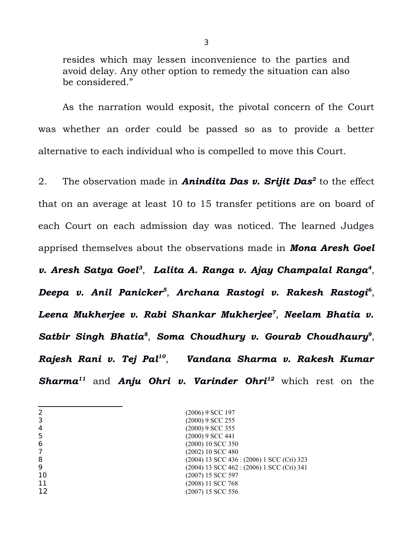resides which may lessen inconvenience to the parties and avoid delay. Any other option to remedy the situation can also be considered."

As the narration would exposit, the pivotal concern of the Court was whether an order could be passed so as to provide a better alternative to each individual who is compelled to move this Court.

2. The observation made in *Anindita Das v. Srijit Das[2](#page-2-0)* to the effect that on an average at least 10 to 15 transfer petitions are on board of each Court on each admission day was noticed. The learned Judges apprised themselves about the observations made in *Mona Aresh Goel v. Aresh Satya Goel[3](#page-2-1)* , *Lalita A. Ranga v. Ajay Champalal Ranga[4](#page-2-2)* , *Deepa v. Anil Panicker[5](#page-2-3)* , *Archana Rastogi v. Rakesh Rastogi[6](#page-2-4)* , *Leena Mukherjee v. Rabi Shankar Mukherjee[7](#page-2-5)* , *Neelam Bhatia v. Satbir Singh Bhatia[8](#page-2-6)* , *Soma Choudhury v. Gourab Choudhaury[9](#page-2-7)* , *Rajesh Rani v. Tej Pal[10](#page-2-8)* , *Vandana Sharma v. Rakesh Kumar Sharma[11](#page-2-9)* and *Anju Ohri v. Varinder Ohri[12](#page-2-10)* which rest on the

<span id="page-2-10"></span><span id="page-2-9"></span><span id="page-2-8"></span><span id="page-2-7"></span><span id="page-2-6"></span><span id="page-2-5"></span><span id="page-2-4"></span><span id="page-2-3"></span><span id="page-2-2"></span><span id="page-2-1"></span><span id="page-2-0"></span>

|    | (2006) 9 SCC 197                           |
|----|--------------------------------------------|
|    | (2000) 9 SCC 255                           |
| 4  | (2000) 9 SCC 355                           |
|    | (2000) 9 SCC 441                           |
| 6  | (2000) 10 SCC 350                          |
|    | (2002) 10 SCC 480                          |
| 8  | (2004) 13 SCC 436 : (2006) 1 SCC (Cri) 323 |
| 9  | (2004) 13 SCC 462 : (2006) 1 SCC (Cri) 341 |
| 10 | (2007) 15 SCC 597                          |
| 11 | (2008) 11 SCC 768                          |
| 12 | (2007) 15 SCC 556                          |

3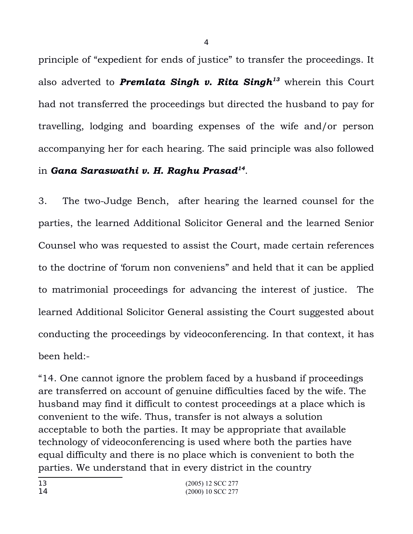principle of "expedient for ends of justice" to transfer the proceedings. It also adverted to *Premlata Singh v. Rita Singh[13](#page-3-0)* wherein this Court had not transferred the proceedings but directed the husband to pay for travelling, lodging and boarding expenses of the wife and/or person accompanying her for each hearing. The said principle was also followed in *Gana Saraswathi v. H. Raghu Prasad[14](#page-3-1)* .

3. The two-Judge Bench, after hearing the learned counsel for the parties, the learned Additional Solicitor General and the learned Senior Counsel who was requested to assist the Court, made certain references to the doctrine of 'forum non conveniens" and held that it can be applied to matrimonial proceedings for advancing the interest of justice. The learned Additional Solicitor General assisting the Court suggested about conducting the proceedings by videoconferencing. In that context, it has been held:-

<span id="page-3-1"></span><span id="page-3-0"></span>"14. One cannot ignore the problem faced by a husband if proceedings are transferred on account of genuine difficulties faced by the wife. The husband may find it difficult to contest proceedings at a place which is convenient to the wife. Thus, transfer is not always a solution acceptable to both the parties. It may be appropriate that available technology of videoconferencing is used where both the parties have equal difficulty and there is no place which is convenient to both the parties. We understand that in every district in the country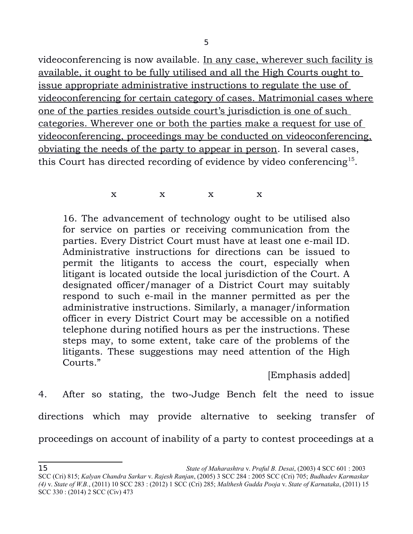5

videoconferencing is now available. In any case, wherever such facility is available, it ought to be fully utilised and all the High Courts ought to issue appropriate administrative instructions to regulate the use of videoconferencing for certain category of cases. Matrimonial cases where one of the parties resides outside court's jurisdiction is one of such categories. Wherever one or both the parties make a request for use of videoconferencing, proceedings may be conducted on videoconferencing, obviating the needs of the party to appear in person. In several cases, this Court has directed recording of evidence by video conferencing<sup>[15](#page-4-0)</sup>.

 $X$  x  $X$  x  $X$ 

16. The advancement of technology ought to be utilised also for service on parties or receiving communication from the parties. Every District Court must have at least one e-mail ID. Administrative instructions for directions can be issued to permit the litigants to access the court, especially when litigant is located outside the local jurisdiction of the Court. A designated officer/manager of a District Court may suitably respond to such e-mail in the manner permitted as per the administrative instructions. Similarly, a manager/information officer in every District Court may be accessible on a notified telephone during notified hours as per the instructions. These steps may, to some extent, take care of the problems of the litigants. These suggestions may need attention of the High Courts."

[Emphasis added]

4. After so stating, the two-Judge Bench felt the need to issue directions which may provide alternative to seeking transfer of proceedings on account of inability of a party to contest proceedings at a

<span id="page-4-0"></span>SCC (Cri) 815; *Kalyan Chandra Sarkar* v. *Rajesh Ranjan*, (2005) 3 SCC 284 : 2005 SCC (Cri) 705; *Budhadev Karmaskar (4)* v. *State of W.B.*, (2011) 10 SCC 283 : (2012) 1 SCC (Cri) 285; *Malthesh Gudda Pooja* v. *State of Karnataka*, (2011) 15 SCC 330 : (2014) 2 SCC (Civ) 473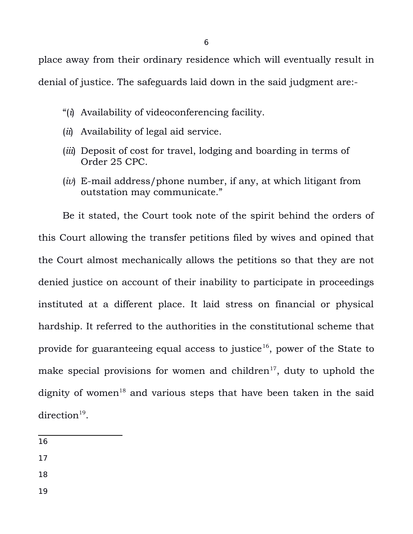6

place away from their ordinary residence which will eventually result in denial of justice. The safeguards laid down in the said judgment are:-

- "(*i*) Availability of videoconferencing facility.
- (*ii*) Availability of legal aid service.
- (*iii*) Deposit of cost for travel, lodging and boarding in terms of Order 25 CPC.
- (*iv*) E-mail address/phone number, if any, at which litigant from outstation may communicate."

Be it stated, the Court took note of the spirit behind the orders of this Court allowing the transfer petitions filed by wives and opined that the Court almost mechanically allows the petitions so that they are not denied justice on account of their inability to participate in proceedings instituted at a different place. It laid stress on financial or physical hardship. It referred to the authorities in the constitutional scheme that provide for guaranteeing equal access to justice<sup>[16](#page-5-0)</sup>, power of the State to make special provisions for women and children<sup>[17](#page-5-1)</sup>, duty to uphold the dignity of women<sup>[18](#page-5-2)</sup> and various steps that have been taken in the said  $direction^{19}$  $direction^{19}$  $direction^{19}$ .

<span id="page-5-0"></span>16

- <span id="page-5-1"></span>17
- <span id="page-5-2"></span>18
- <span id="page-5-3"></span>19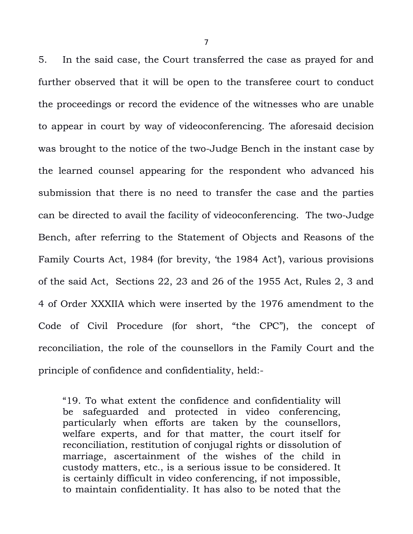5. In the said case, the Court transferred the case as prayed for and further observed that it will be open to the transferee court to conduct the proceedings or record the evidence of the witnesses who are unable to appear in court by way of videoconferencing. The aforesaid decision was brought to the notice of the two-Judge Bench in the instant case by the learned counsel appearing for the respondent who advanced his submission that there is no need to transfer the case and the parties can be directed to avail the facility of videoconferencing. The two-Judge Bench, after referring to the Statement of Objects and Reasons of the Family Courts Act, 1984 (for brevity, 'the 1984 Act'), various provisions of the said Act, Sections 22, 23 and 26 of the 1955 Act, Rules 2, 3 and 4 of Order XXXIIA which were inserted by the 1976 amendment to the Code of Civil Procedure (for short, "the CPC"), the concept of reconciliation, the role of the counsellors in the Family Court and the principle of confidence and confidentiality, held:-

"19. To what extent the confidence and confidentiality will be safeguarded and protected in video conferencing, particularly when efforts are taken by the counsellors, welfare experts, and for that matter, the court itself for reconciliation, restitution of conjugal rights or dissolution of marriage, ascertainment of the wishes of the child in custody matters, etc., is a serious issue to be considered. It is certainly difficult in video conferencing, if not impossible, to maintain confidentiality. It has also to be noted that the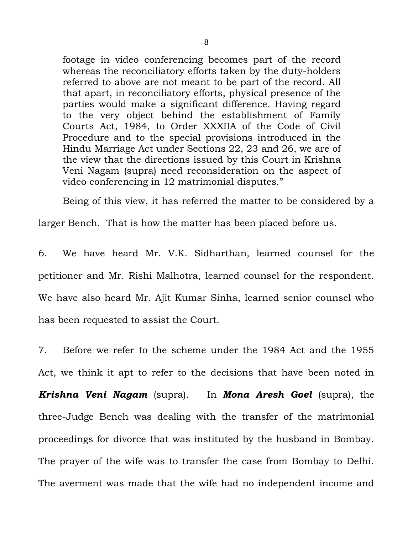footage in video conferencing becomes part of the record whereas the reconciliatory efforts taken by the duty-holders referred to above are not meant to be part of the record. All that apart, in reconciliatory efforts, physical presence of the parties would make a significant difference. Having regard to the very object behind the establishment of Family Courts Act, 1984, to Order XXXIIA of the Code of Civil Procedure and to the special provisions introduced in the Hindu Marriage Act under Sections 22, 23 and 26, we are of the view that the directions issued by this Court in Krishna Veni Nagam (supra) need reconsideration on the aspect of video conferencing in 12 matrimonial disputes."

Being of this view, it has referred the matter to be considered by a

larger Bench. That is how the matter has been placed before us.

6. We have heard Mr. V.K. Sidharthan, learned counsel for the petitioner and Mr. Rishi Malhotra, learned counsel for the respondent. We have also heard Mr. Ajit Kumar Sinha, learned senior counsel who has been requested to assist the Court.

7. Before we refer to the scheme under the 1984 Act and the 1955 Act, we think it apt to refer to the decisions that have been noted in *Krishna Veni Nagam* (supra). In *Mona Aresh Goel* (supra), the three-Judge Bench was dealing with the transfer of the matrimonial proceedings for divorce that was instituted by the husband in Bombay. The prayer of the wife was to transfer the case from Bombay to Delhi. The averment was made that the wife had no independent income and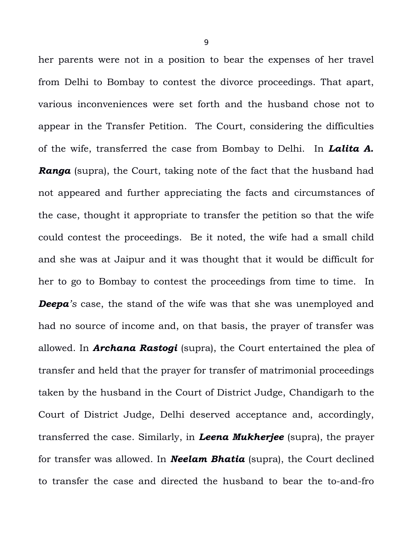her parents were not in a position to bear the expenses of her travel from Delhi to Bombay to contest the divorce proceedings. That apart, various inconveniences were set forth and the husband chose not to appear in the Transfer Petition. The Court, considering the difficulties of the wife, transferred the case from Bombay to Delhi. In *Lalita A.* **Ranga** (supra), the Court, taking note of the fact that the husband had not appeared and further appreciating the facts and circumstances of the case, thought it appropriate to transfer the petition so that the wife could contest the proceedings. Be it noted, the wife had a small child and she was at Jaipur and it was thought that it would be difficult for her to go to Bombay to contest the proceedings from time to time. In *Deepa's* case, the stand of the wife was that she was unemployed and had no source of income and, on that basis, the prayer of transfer was allowed. In *Archana Rastogi* (supra), the Court entertained the plea of transfer and held that the prayer for transfer of matrimonial proceedings taken by the husband in the Court of District Judge, Chandigarh to the Court of District Judge, Delhi deserved acceptance and, accordingly, transferred the case. Similarly, in *Leena Mukherjee* (supra), the prayer for transfer was allowed. In *Neelam Bhatia* (supra), the Court declined to transfer the case and directed the husband to bear the to-and-fro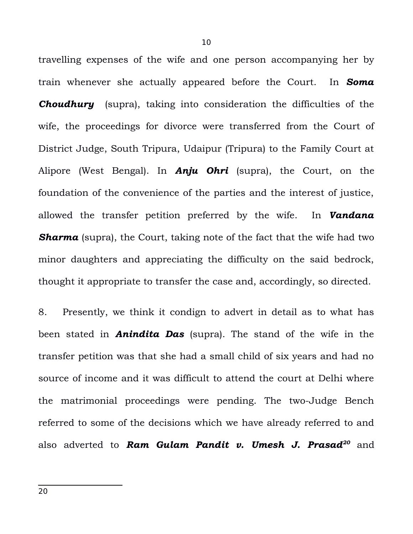travelling expenses of the wife and one person accompanying her by train whenever she actually appeared before the Court. In *Soma* **Choudhury** (supra), taking into consideration the difficulties of the wife, the proceedings for divorce were transferred from the Court of District Judge, South Tripura, Udaipur (Tripura) to the Family Court at Alipore (West Bengal). In *Anju Ohri* (supra), the Court, on the foundation of the convenience of the parties and the interest of justice, allowed the transfer petition preferred by the wife. In *Vandana* **Sharma** (supra), the Court, taking note of the fact that the wife had two minor daughters and appreciating the difficulty on the said bedrock, thought it appropriate to transfer the case and, accordingly, so directed.

<span id="page-9-0"></span>8. Presently, we think it condign to advert in detail as to what has been stated in *Anindita Das* (supra). The stand of the wife in the transfer petition was that she had a small child of six years and had no source of income and it was difficult to attend the court at Delhi where the matrimonial proceedings were pending. The two-Judge Bench referred to some of the decisions which we have already referred to and also adverted to *Ram Gulam Pandit v. Umesh J. Prasad[20](#page-9-0)* and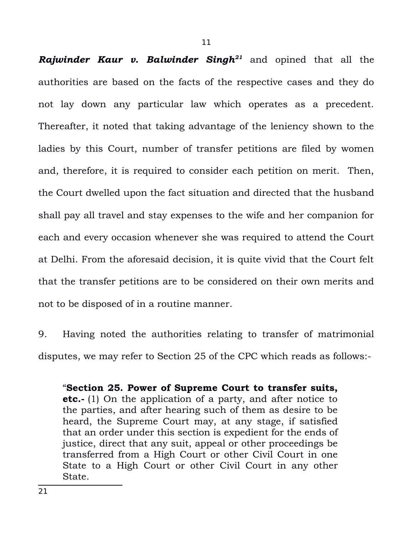*Rajwinder Kaur v. Balwinder Singh[21](#page-10-0)* and opined that all the authorities are based on the facts of the respective cases and they do not lay down any particular law which operates as a precedent. Thereafter, it noted that taking advantage of the leniency shown to the ladies by this Court, number of transfer petitions are filed by women and, therefore, it is required to consider each petition on merit. Then, the Court dwelled upon the fact situation and directed that the husband shall pay all travel and stay expenses to the wife and her companion for each and every occasion whenever she was required to attend the Court at Delhi. From the aforesaid decision, it is quite vivid that the Court felt that the transfer petitions are to be considered on their own merits and not to be disposed of in a routine manner.

9. Having noted the authorities relating to transfer of matrimonial disputes, we may refer to Section 25 of the CPC which reads as follows:-

<span id="page-10-0"></span>"**Section 25. Power of Supreme Court to transfer suits, etc.-** (1) On the application of a party, and after notice to the parties, and after hearing such of them as desire to be heard, the Supreme Court may, at any stage, if satisfied that an order under this section is expedient for the ends of justice, direct that any suit, appeal or other proceedings be transferred from a High Court or other Civil Court in one State to a High Court or other Civil Court in any other State.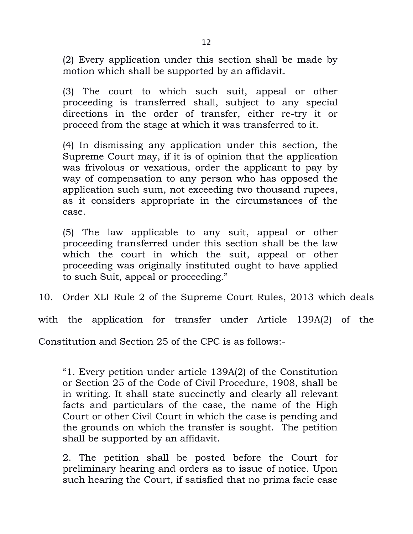(2) Every application under this section shall be made by motion which shall be supported by an affidavit.

(3) The court to which such suit, appeal or other proceeding is transferred shall, subject to any special directions in the order of transfer, either re-try it or proceed from the stage at which it was transferred to it.

(4) In dismissing any application under this section, the Supreme Court may, if it is of opinion that the application was frivolous or vexatious, order the applicant to pay by way of compensation to any person who has opposed the application such sum, not exceeding two thousand rupees, as it considers appropriate in the circumstances of the case.

(5) The law applicable to any suit, appeal or other proceeding transferred under this section shall be the law which the court in which the suit, appeal or other proceeding was originally instituted ought to have applied to such Suit, appeal or proceeding."

10. Order XLI Rule 2 of the Supreme Court Rules, 2013 which deals

with the application for transfer under Article 139A(2) of the

Constitution and Section 25 of the CPC is as follows:-

"1. Every petition under article 139A(2) of the Constitution or Section 25 of the Code of Civil Procedure, 1908, shall be in writing. It shall state succinctly and clearly all relevant facts and particulars of the case, the name of the High Court or other Civil Court in which the case is pending and the grounds on which the transfer is sought. The petition shall be supported by an affidavit.

2. The petition shall be posted before the Court for preliminary hearing and orders as to issue of notice. Upon such hearing the Court, if satisfied that no prima facie case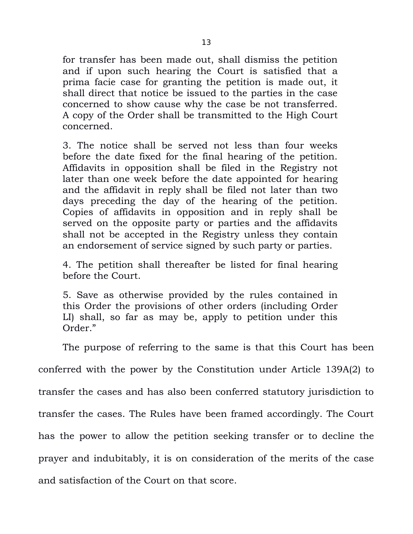for transfer has been made out, shall dismiss the petition and if upon such hearing the Court is satisfied that a prima facie case for granting the petition is made out, it shall direct that notice be issued to the parties in the case concerned to show cause why the case be not transferred. A copy of the Order shall be transmitted to the High Court concerned.

3. The notice shall be served not less than four weeks before the date fixed for the final hearing of the petition. Affidavits in opposition shall be filed in the Registry not later than one week before the date appointed for hearing and the affidavit in reply shall be filed not later than two days preceding the day of the hearing of the petition. Copies of affidavits in opposition and in reply shall be served on the opposite party or parties and the affidavits shall not be accepted in the Registry unless they contain an endorsement of service signed by such party or parties.

4. The petition shall thereafter be listed for final hearing before the Court.

5. Save as otherwise provided by the rules contained in this Order the provisions of other orders (including Order LI) shall, so far as may be, apply to petition under this Order."

The purpose of referring to the same is that this Court has been

conferred with the power by the Constitution under Article 139A(2) to

transfer the cases and has also been conferred statutory jurisdiction to

transfer the cases. The Rules have been framed accordingly. The Court

has the power to allow the petition seeking transfer or to decline the

prayer and indubitably, it is on consideration of the merits of the case

and satisfaction of the Court on that score.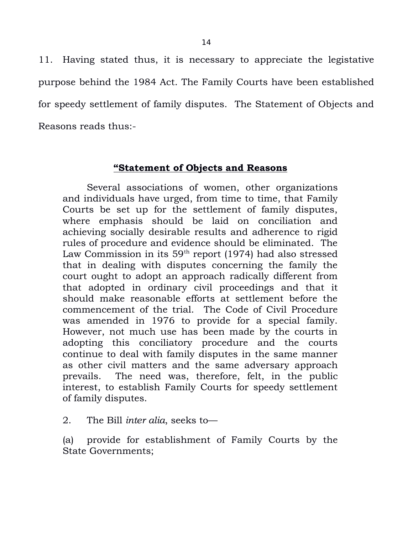11. Having stated thus, it is necessary to appreciate the legistative purpose behind the 1984 Act. The Family Courts have been established for speedy settlement of family disputes. The Statement of Objects and Reasons reads thus:-

## **"Statement of Objects and Reasons**

Several associations of women, other organizations and individuals have urged, from time to time, that Family Courts be set up for the settlement of family disputes, where emphasis should be laid on conciliation and achieving socially desirable results and adherence to rigid rules of procedure and evidence should be eliminated. The Law Commission in its  $59<sup>th</sup>$  report (1974) had also stressed that in dealing with disputes concerning the family the court ought to adopt an approach radically different from that adopted in ordinary civil proceedings and that it should make reasonable efforts at settlement before the commencement of the trial. The Code of Civil Procedure was amended in 1976 to provide for a special family. However, not much use has been made by the courts in adopting this conciliatory procedure and the courts continue to deal with family disputes in the same manner as other civil matters and the same adversary approach prevails. The need was, therefore, felt, in the public interest, to establish Family Courts for speedy settlement of family disputes.

2. The Bill *inter alia*, seeks to—

(a) provide for establishment of Family Courts by the State Governments;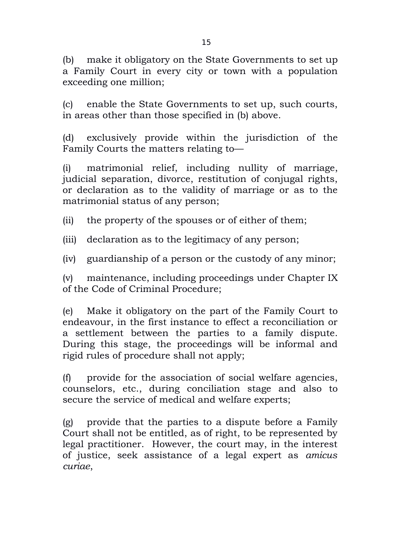(b) make it obligatory on the State Governments to set up a Family Court in every city or town with a population exceeding one million;

(c) enable the State Governments to set up, such courts, in areas other than those specified in (b) above.

(d) exclusively provide within the jurisdiction of the Family Courts the matters relating to—

(i) matrimonial relief, including nullity of marriage, judicial separation, divorce, restitution of conjugal rights, or declaration as to the validity of marriage or as to the matrimonial status of any person;

(ii) the property of the spouses or of either of them;

(iii) declaration as to the legitimacy of any person;

(iv) guardianship of a person or the custody of any minor;

(v) maintenance, including proceedings under Chapter IX of the Code of Criminal Procedure;

(e) Make it obligatory on the part of the Family Court to endeavour, in the first instance to effect a reconciliation or a settlement between the parties to a family dispute. During this stage, the proceedings will be informal and rigid rules of procedure shall not apply;

(f) provide for the association of social welfare agencies, counselors, etc., during conciliation stage and also to secure the service of medical and welfare experts;

(g) provide that the parties to a dispute before a Family Court shall not be entitled, as of right, to be represented by legal practitioner. However, the court may, in the interest of justice, seek assistance of a legal expert as *amicus curiae*,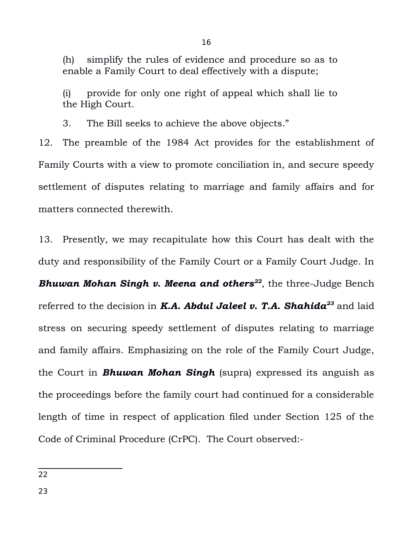(h) simplify the rules of evidence and procedure so as to enable a Family Court to deal effectively with a dispute;

(i) provide for only one right of appeal which shall lie to the High Court.

3. The Bill seeks to achieve the above objects."

12. The preamble of the 1984 Act provides for the establishment of Family Courts with a view to promote conciliation in, and secure speedy settlement of disputes relating to marriage and family affairs and for matters connected therewith.

13. Presently, we may recapitulate how this Court has dealt with the duty and responsibility of the Family Court or a Family Court Judge. In *Bhuwan Mohan Singh v. Meena and others[22](#page-15-0)* , the three-Judge Bench referred to the decision in *K.A. Abdul Jaleel v. T.A. Shahida[23](#page-15-1)* and laid stress on securing speedy settlement of disputes relating to marriage and family affairs. Emphasizing on the role of the Family Court Judge, the Court in *Bhuwan Mohan Singh* (supra) expressed its anguish as the proceedings before the family court had continued for a considerable length of time in respect of application filed under Section 125 of the Code of Criminal Procedure (CrPC). The Court observed:-

<span id="page-15-1"></span><span id="page-15-0"></span><sup>22</sup>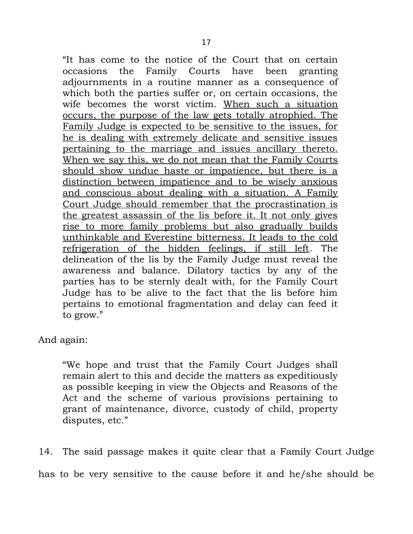"It has come to the notice of the Court that on certain occasions the Family Courts have been granting adjournments in a routine manner as a consequence of which both the parties suffer or, on certain occasions, the wife becomes the worst victim. When such a situation occurs, the purpose of the law gets totally atrophied. The Family Judge is expected to be sensitive to the issues, for he is dealing with extremely delicate and sensitive issues pertaining to the marriage and issues ancillary thereto. When we say this, we do not mean that the Family Courts should show undue haste or impatience, but there is a distinction between impatience and to be wisely anxious and conscious about dealing with a situation. A Family Court Judge should remember that the procrastination is the greatest assassin of the lis before it. It not only gives rise to more family problems but also gradually builds unthinkable and Everestine bitterness. It leads to the cold refrigeration of the hidden feelings, if still left. The delineation of the lis by the Family Judge must reveal the awareness and balance. Dilatory tactics by any of the parties has to be sternly dealt with, for the Family Court Judge has to be alive to the fact that the lis before him pertains to emotional fragmentation and delay can feed it to grow."

And again:

"We hope and trust that the Family Court Judges shall remain alert to this and decide the matters as expeditiously as possible keeping in view the Objects and Reasons of the Act and the scheme of various provisions pertaining to grant of maintenance, divorce, custody of child, property disputes, etc."

14. The said passage makes it quite clear that a Family Court Judge

has to be very sensitive to the cause before it and he/she should be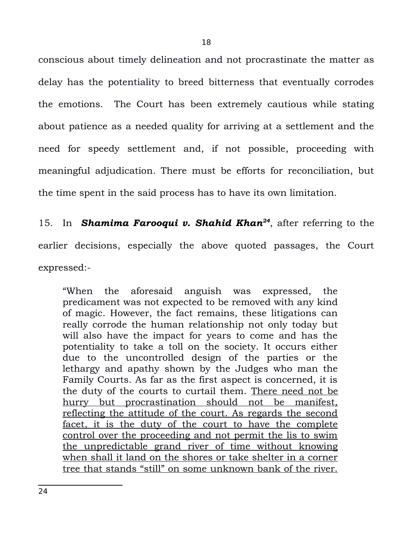conscious about timely delineation and not procrastinate the matter as delay has the potentiality to breed bitterness that eventually corrodes the emotions. The Court has been extremely cautious while stating about patience as a needed quality for arriving at a settlement and the need for speedy settlement and, if not possible, proceeding with meaningful adjudication. There must be efforts for reconciliation, but the time spent in the said process has to have its own limitation.

15. In *Shamima Farooqui v. Shahid Khan[24](#page-17-0)*, after referring to the earlier decisions, especially the above quoted passages, the Court expressed:-

<span id="page-17-0"></span>"When the aforesaid anguish was expressed, the predicament was not expected to be removed with any kind of magic. However, the fact remains, these litigations can really corrode the human relationship not only today but will also have the impact for years to come and has the potentiality to take a toll on the society. It occurs either due to the uncontrolled design of the parties or the lethargy and apathy shown by the Judges who man the Family Courts. As far as the first aspect is concerned, it is the duty of the courts to curtail them. There need not be hurry but procrastination should not be manifest, reflecting the attitude of the court. As regards the second facet, it is the duty of the court to have the complete control over the proceeding and not permit the lis to swim the unpredictable grand river of time without knowing when shall it land on the shores or take shelter in a corner tree that stands "still" on some unknown bank of the river.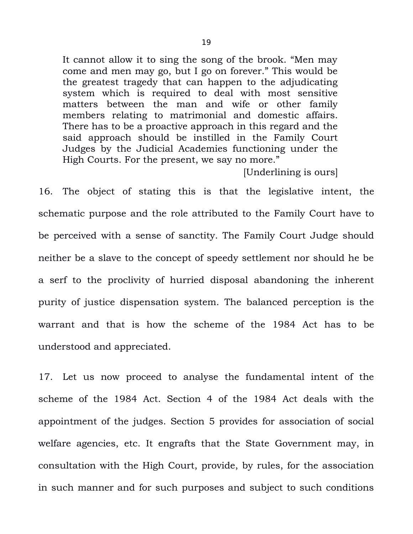It cannot allow it to sing the song of the brook. "Men may come and men may go, but I go on forever." This would be the greatest tragedy that can happen to the adjudicating system which is required to deal with most sensitive matters between the man and wife or other family members relating to matrimonial and domestic affairs. There has to be a proactive approach in this regard and the said approach should be instilled in the Family Court Judges by the Judicial Academies functioning under the High Courts. For the present, we say no more."

[Underlining is ours]

16. The object of stating this is that the legislative intent, the schematic purpose and the role attributed to the Family Court have to be perceived with a sense of sanctity. The Family Court Judge should neither be a slave to the concept of speedy settlement nor should he be a serf to the proclivity of hurried disposal abandoning the inherent purity of justice dispensation system. The balanced perception is the warrant and that is how the scheme of the 1984 Act has to be understood and appreciated.

17. Let us now proceed to analyse the fundamental intent of the scheme of the 1984 Act. Section 4 of the 1984 Act deals with the appointment of the judges. Section 5 provides for association of social welfare agencies, etc. It engrafts that the State Government may, in consultation with the High Court, provide, by rules, for the association in such manner and for such purposes and subject to such conditions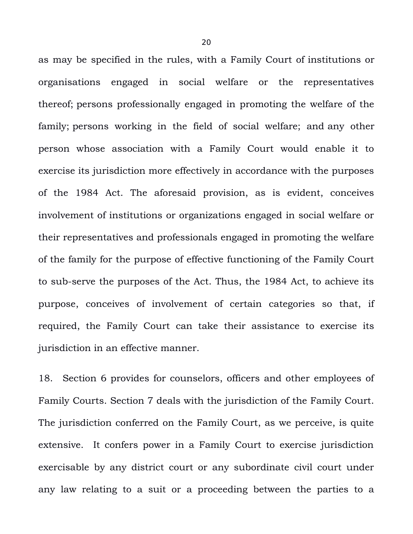as may be specified in the rules, with a Family Court of institutions or organisations engaged in social welfare or the representatives thereof; persons professionally engaged in promoting the welfare of the family; persons working in the field of social welfare; and any other person whose association with a Family Court would enable it to exercise its jurisdiction more effectively in accordance with the purposes of the 1984 Act. The aforesaid provision, as is evident, conceives involvement of institutions or organizations engaged in social welfare or their representatives and professionals engaged in promoting the welfare of the family for the purpose of effective functioning of the Family Court to sub-serve the purposes of the Act. Thus, the 1984 Act, to achieve its purpose, conceives of involvement of certain categories so that, if required, the Family Court can take their assistance to exercise its jurisdiction in an effective manner.

18. Section 6 provides for counselors, officers and other employees of Family Courts. Section 7 deals with the jurisdiction of the Family Court. The jurisdiction conferred on the Family Court, as we perceive, is quite extensive. It confers power in a Family Court to exercise jurisdiction exercisable by any district court or any subordinate civil court under any law relating to a suit or a proceeding between the parties to a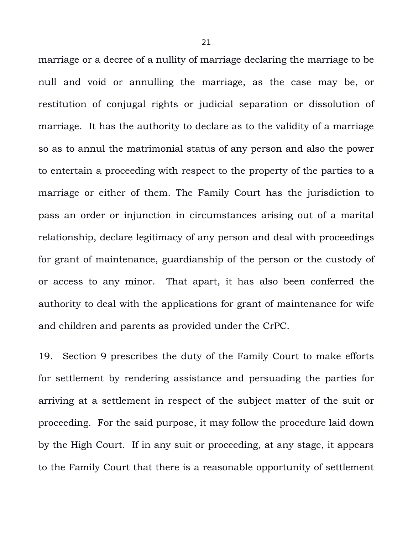marriage or a decree of a nullity of marriage declaring the marriage to be null and void or annulling the marriage, as the case may be, or restitution of conjugal rights or judicial separation or dissolution of marriage. It has the authority to declare as to the validity of a marriage so as to annul the matrimonial status of any person and also the power to entertain a proceeding with respect to the property of the parties to a marriage or either of them. The Family Court has the jurisdiction to pass an order or injunction in circumstances arising out of a marital relationship, declare legitimacy of any person and deal with proceedings for grant of maintenance, guardianship of the person or the custody of or access to any minor. That apart, it has also been conferred the authority to deal with the applications for grant of maintenance for wife and children and parents as provided under the CrPC.

19. Section 9 prescribes the duty of the Family Court to make efforts for settlement by rendering assistance and persuading the parties for arriving at a settlement in respect of the subject matter of the suit or proceeding. For the said purpose, it may follow the procedure laid down by the High Court. If in any suit or proceeding, at any stage, it appears to the Family Court that there is a reasonable opportunity of settlement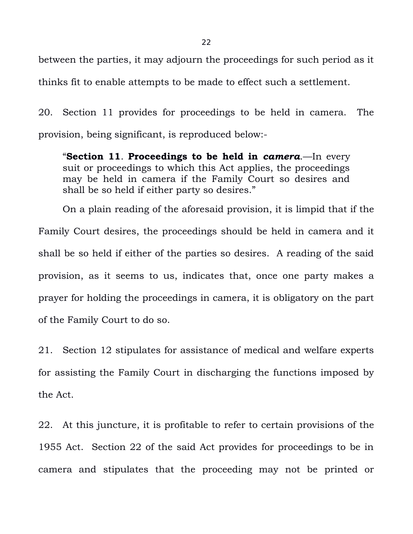between the parties, it may adjourn the proceedings for such period as it thinks fit to enable attempts to be made to effect such a settlement.

20. Section 11 provides for proceedings to be held in camera. The provision, being significant, is reproduced below:-

"**Section 11**. **Proceedings to be held in** *camera*.—In every suit or proceedings to which this Act applies, the proceedings may be held in camera if the Family Court so desires and shall be so held if either party so desires."

On a plain reading of the aforesaid provision, it is limpid that if the Family Court desires, the proceedings should be held in camera and it shall be so held if either of the parties so desires. A reading of the said provision, as it seems to us, indicates that, once one party makes a prayer for holding the proceedings in camera, it is obligatory on the part of the Family Court to do so.

21. Section 12 stipulates for assistance of medical and welfare experts for assisting the Family Court in discharging the functions imposed by the Act.

22. At this juncture, it is profitable to refer to certain provisions of the 1955 Act. Section 22 of the said Act provides for proceedings to be in camera and stipulates that the proceeding may not be printed or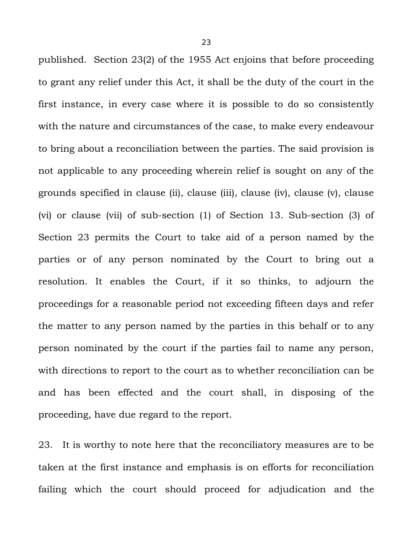published. Section 23(2) of the 1955 Act enjoins that before proceeding to grant any relief under this Act, it shall be the duty of the court in the first instance, in every case where it is possible to do so consistently with the nature and circumstances of the case, to make every endeavour to bring about a reconciliation between the parties. The said provision is not applicable to any proceeding wherein relief is sought on any of the grounds specified in clause (ii), clause (iii), clause (iv), clause (v), clause (vi) or clause (vii) of sub-section (1) of Section 13. Sub-section (3) of Section 23 permits the Court to take aid of a person named by the parties or of any person nominated by the Court to bring out a resolution. It enables the Court, if it so thinks, to adjourn the proceedings for a reasonable period not exceeding fifteen days and refer the matter to any person named by the parties in this behalf or to any person nominated by the court if the parties fail to name any person, with directions to report to the court as to whether reconciliation can be and has been effected and the court shall, in disposing of the proceeding, have due regard to the report.

23. It is worthy to note here that the reconciliatory measures are to be taken at the first instance and emphasis is on efforts for reconciliation failing which the court should proceed for adjudication and the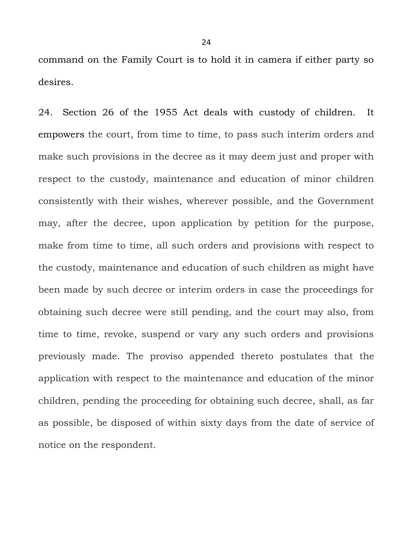command on the Family Court is to hold it in camera if either party so desires.

24. Section 26 of the 1955 Act deals with custody of children. It empowers the court, from time to time, to pass such interim orders and make such provisions in the decree as it may deem just and proper with respect to the custody, maintenance and education of minor children consistently with their wishes, wherever possible, and the Government may, after the decree, upon application by petition for the purpose, make from time to time, all such orders and provisions with respect to the custody, maintenance and education of such children as might have been made by such decree or interim orders in case the proceedings for obtaining such decree were still pending, and the court may also, from time to time, revoke, suspend or vary any such orders and provisions previously made. The proviso appended thereto postulates that the application with respect to the maintenance and education of the minor children, pending the proceeding for obtaining such decree, shall, as far as possible, be disposed of within sixty days from the date of service of notice on the respondent.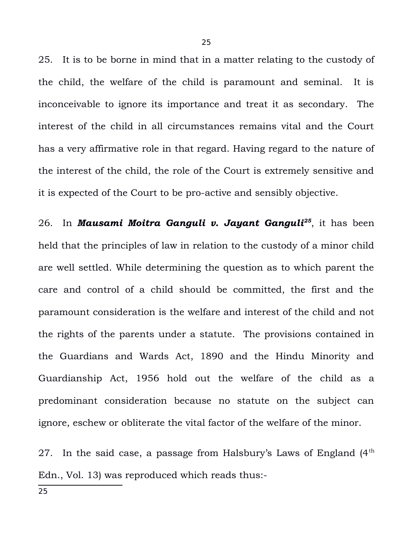25. It is to be borne in mind that in a matter relating to the custody of the child, the welfare of the child is paramount and seminal. It is inconceivable to ignore its importance and treat it as secondary. The interest of the child in all circumstances remains vital and the Court has a very affirmative role in that regard. Having regard to the nature of the interest of the child, the role of the Court is extremely sensitive and it is expected of the Court to be pro-active and sensibly objective.

26. In *Mausami Moitra Ganguli v. Jayant Ganguli[25](#page-24-0)*, it has been held that the principles of law in relation to the custody of a minor child are well settled. While determining the question as to which parent the care and control of a child should be committed, the first and the paramount consideration is the welfare and interest of the child and not the rights of the parents under a statute. The provisions contained in the Guardians and Wards Act, 1890 and the Hindu Minority and Guardianship Act, 1956 hold out the welfare of the child as a predominant consideration because no statute on the subject can ignore, eschew or obliterate the vital factor of the welfare of the minor.

<span id="page-24-0"></span>27. In the said case, a passage from Halsbury's Laws of England  $(4<sup>th</sup>$ Edn., Vol. 13) was reproduced which reads thus:-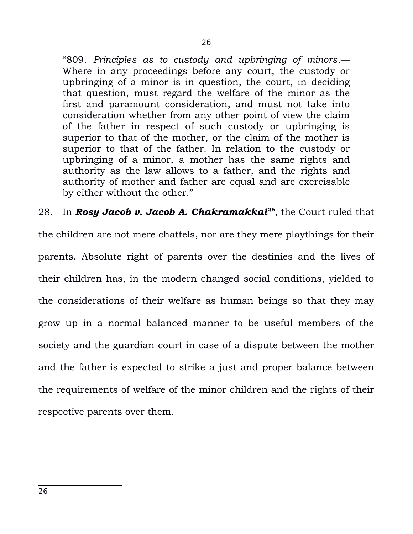"809. *Principles as to custody and upbringing of minors*.— Where in any proceedings before any court, the custody or upbringing of a minor is in question, the court, in deciding that question, must regard the welfare of the minor as the first and paramount consideration, and must not take into consideration whether from any other point of view the claim of the father in respect of such custody or upbringing is superior to that of the mother, or the claim of the mother is superior to that of the father. In relation to the custody or upbringing of a minor, a mother has the same rights and authority as the law allows to a father, and the rights and authority of mother and father are equal and are exercisable by either without the other."

28. In *Rosy Jacob v. Jacob A. Chakramakkal[26](#page-25-0)*, the Court ruled that

<span id="page-25-0"></span>the children are not mere chattels, nor are they mere playthings for their parents. Absolute right of parents over the destinies and the lives of their children has, in the modern changed social conditions, yielded to the considerations of their welfare as human beings so that they may grow up in a normal balanced manner to be useful members of the society and the guardian court in case of a dispute between the mother and the father is expected to strike a just and proper balance between the requirements of welfare of the minor children and the rights of their respective parents over them.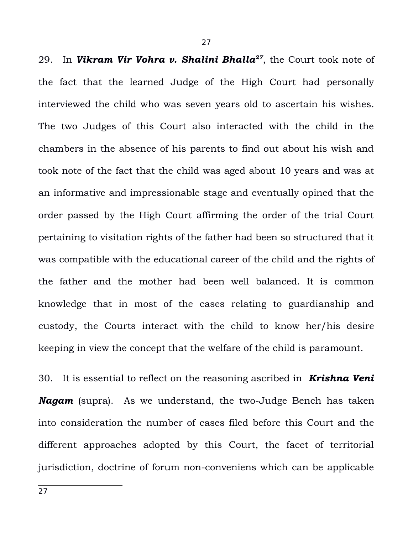29. In *Vikram Vir Vohra v. Shalini Bhalla[27](#page-26-0)*, the Court took note of the fact that the learned Judge of the High Court had personally interviewed the child who was seven years old to ascertain his wishes. The two Judges of this Court also interacted with the child in the chambers in the absence of his parents to find out about his wish and took note of the fact that the child was aged about 10 years and was at an informative and impressionable stage and eventually opined that the order passed by the High Court affirming the order of the trial Court pertaining to visitation rights of the father had been so structured that it was compatible with the educational career of the child and the rights of the father and the mother had been well balanced. It is common knowledge that in most of the cases relating to guardianship and custody, the Courts interact with the child to know her/his desire keeping in view the concept that the welfare of the child is paramount.

<span id="page-26-0"></span>30. It is essential to reflect on the reasoning ascribed in *Krishna Veni Nagam* (supra). As we understand, the two-Judge Bench has taken into consideration the number of cases filed before this Court and the different approaches adopted by this Court, the facet of territorial jurisdiction, doctrine of forum non-conveniens which can be applicable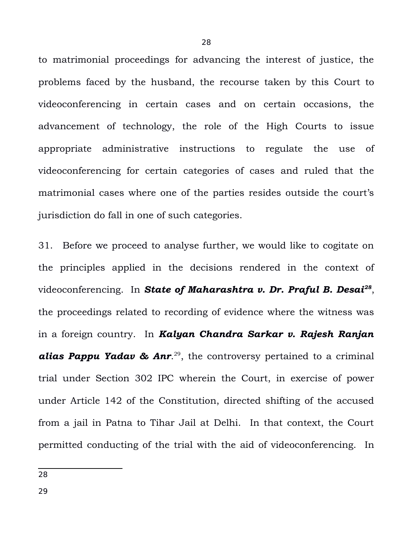to matrimonial proceedings for advancing the interest of justice, the problems faced by the husband, the recourse taken by this Court to videoconferencing in certain cases and on certain occasions, the advancement of technology, the role of the High Courts to issue appropriate administrative instructions to regulate the use of videoconferencing for certain categories of cases and ruled that the matrimonial cases where one of the parties resides outside the court's jurisdiction do fall in one of such categories.

31. Before we proceed to analyse further, we would like to cogitate on the principles applied in the decisions rendered in the context of videoconferencing. In *State of Maharashtra v. Dr. Praful B. Desai[28](#page-27-0)* , the proceedings related to recording of evidence where the witness was in a foreign country. In *Kalyan Chandra Sarkar v. Rajesh Ranjan* **alias Pappu Yadav & Anr.**<sup>[29](#page-27-1)</sup>, the controversy pertained to a criminal trial under Section 302 IPC wherein the Court, in exercise of power under Article 142 of the Constitution, directed shifting of the accused from a jail in Patna to Tihar Jail at Delhi. In that context, the Court permitted conducting of the trial with the aid of videoconferencing. In

<span id="page-27-1"></span><span id="page-27-0"></span><sup>28</sup>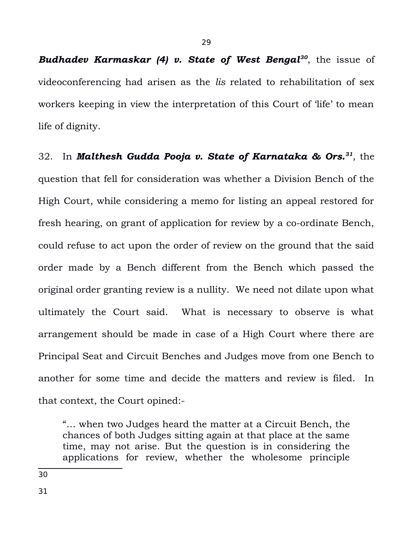*Budhadev Karmaskar (4) v. State of West Bengal[30](#page-28-0)*, the issue of videoconferencing had arisen as the *lis* related to rehabilitation of sex workers keeping in view the interpretation of this Court of 'life' to mean life of dignity.

32. In *Malthesh Gudda Pooja v. State of Karnataka & Ors.[31](#page-28-1)*, the question that fell for consideration was whether a Division Bench of the High Court, while considering a memo for listing an appeal restored for fresh hearing, on grant of application for review by a co-ordinate Bench, could refuse to act upon the order of review on the ground that the said order made by a Bench different from the Bench which passed the original order granting review is a nullity. We need not dilate upon what ultimately the Court said. What is necessary to observe is what arrangement should be made in case of a High Court where there are Principal Seat and Circuit Benches and Judges move from one Bench to another for some time and decide the matters and review is filed. In that context, the Court opined:-

"… when two Judges heard the matter at a Circuit Bench, the chances of both Judges sitting again at that place at the same time, may not arise. But the question is in considering the applications for review, whether the wholesome principle

<span id="page-28-1"></span><span id="page-28-0"></span>30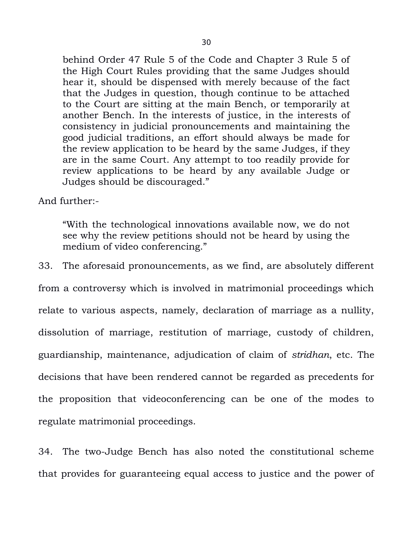behind Order 47 Rule 5 of the Code and Chapter 3 Rule 5 of the High Court Rules providing that the same Judges should hear it, should be dispensed with merely because of the fact that the Judges in question, though continue to be attached to the Court are sitting at the main Bench, or temporarily at another Bench. In the interests of justice, in the interests of consistency in judicial pronouncements and maintaining the good judicial traditions, an effort should always be made for the review application to be heard by the same Judges, if they are in the same Court. Any attempt to too readily provide for review applications to be heard by any available Judge or Judges should be discouraged."

And further:-

"With the technological innovations available now, we do not see why the review petitions should not be heard by using the medium of video conferencing."

33. The aforesaid pronouncements, as we find, are absolutely different from a controversy which is involved in matrimonial proceedings which relate to various aspects, namely, declaration of marriage as a nullity, dissolution of marriage, restitution of marriage, custody of children, guardianship, maintenance, adjudication of claim of *stridhan*, etc. The decisions that have been rendered cannot be regarded as precedents for the proposition that videoconferencing can be one of the modes to regulate matrimonial proceedings.

34. The two-Judge Bench has also noted the constitutional scheme that provides for guaranteeing equal access to justice and the power of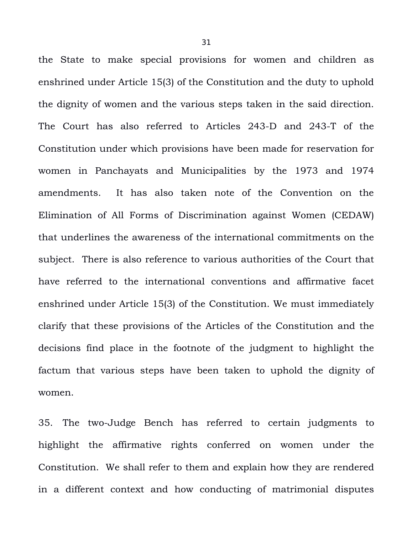the State to make special provisions for women and children as enshrined under Article 15(3) of the Constitution and the duty to uphold the dignity of women and the various steps taken in the said direction. The Court has also referred to Articles 243-D and 243-T of the Constitution under which provisions have been made for reservation for women in Panchayats and Municipalities by the 1973 and 1974 amendments. It has also taken note of the Convention on the Elimination of All Forms of Discrimination against Women (CEDAW) that underlines the awareness of the international commitments on the subject. There is also reference to various authorities of the Court that have referred to the international conventions and affirmative facet enshrined under Article 15(3) of the Constitution. We must immediately clarify that these provisions of the Articles of the Constitution and the decisions find place in the footnote of the judgment to highlight the factum that various steps have been taken to uphold the dignity of women.

35. The two-Judge Bench has referred to certain judgments to highlight the affirmative rights conferred on women under the Constitution. We shall refer to them and explain how they are rendered in a different context and how conducting of matrimonial disputes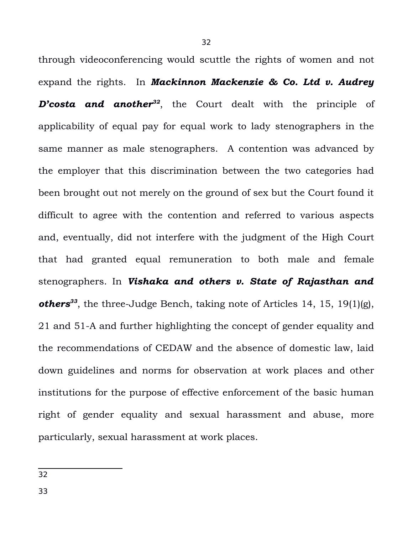through videoconferencing would scuttle the rights of women and not expand the rights. In *Mackinnon Mackenzie & Co. Ltd v. Audrey D'costa and another<sup>[32](#page-31-0)</sup>*, the Court dealt with the principle of applicability of equal pay for equal work to lady stenographers in the same manner as male stenographers. A contention was advanced by the employer that this discrimination between the two categories had been brought out not merely on the ground of sex but the Court found it difficult to agree with the contention and referred to various aspects and, eventually, did not interfere with the judgment of the High Court that had granted equal remuneration to both male and female stenographers. In *Vishaka and others v. State of Rajasthan and others[33](#page-31-1)*, the three-Judge Bench, taking note of Articles 14, 15, 19(1)(g), 21 and 51-A and further highlighting the concept of gender equality and the recommendations of CEDAW and the absence of domestic law, laid down guidelines and norms for observation at work places and other institutions for the purpose of effective enforcement of the basic human right of gender equality and sexual harassment and abuse, more particularly, sexual harassment at work places.

<span id="page-31-1"></span><span id="page-31-0"></span>33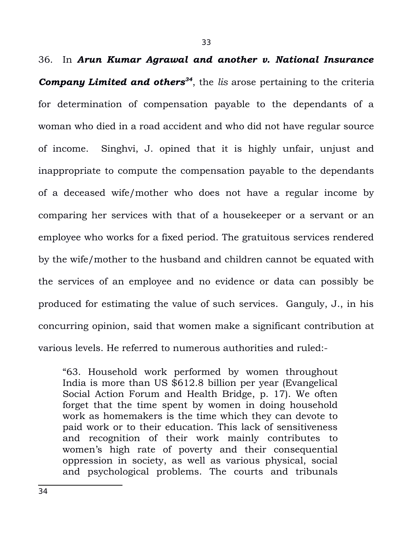36. In *Arun Kumar Agrawal and another v. National Insurance Company Limited and others[34](#page-32-0)*, the *lis* arose pertaining to the criteria for determination of compensation payable to the dependants of a woman who died in a road accident and who did not have regular source of income. Singhvi, J. opined that it is highly unfair, unjust and inappropriate to compute the compensation payable to the dependants of a deceased wife/mother who does not have a regular income by comparing her services with that of a housekeeper or a servant or an employee who works for a fixed period. The gratuitous services rendered by the wife/mother to the husband and children cannot be equated with the services of an employee and no evidence or data can possibly be produced for estimating the value of such services. Ganguly, J., in his concurring opinion, said that women make a significant contribution at various levels. He referred to numerous authorities and ruled:-

<span id="page-32-0"></span>"63. Household work performed by women throughout India is more than US \$612.8 billion per year (Evangelical Social Action Forum and Health Bridge, p. 17). We often forget that the time spent by women in doing household work as homemakers is the time which they can devote to paid work or to their education. This lack of sensitiveness and recognition of their work mainly contributes to women's high rate of poverty and their consequential oppression in society, as well as various physical, social and psychological problems. The courts and tribunals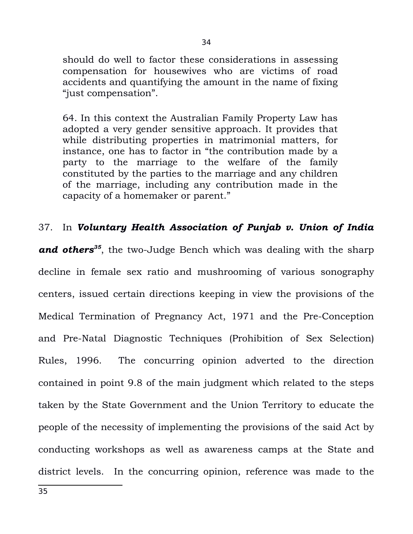should do well to factor these considerations in assessing compensation for housewives who are victims of road accidents and quantifying the amount in the name of fixing "just compensation".

64. In this context the Australian Family Property Law has adopted a very gender sensitive approach. It provides that while distributing properties in matrimonial matters, for instance, one has to factor in "the contribution made by a party to the marriage to the welfare of the family constituted by the parties to the marriage and any children of the marriage, including any contribution made in the capacity of a homemaker or parent."

## 37. In *Voluntary Health Association of Punjab v. Union of India*

<span id="page-33-0"></span>*and others[35](#page-33-0)*, the two-Judge Bench which was dealing with the sharp decline in female sex ratio and mushrooming of various sonography centers, issued certain directions keeping in view the provisions of the Medical Termination of Pregnancy Act, 1971 and the Pre-Conception and Pre-Natal Diagnostic Techniques (Prohibition of Sex Selection) Rules, 1996. The concurring opinion adverted to the direction contained in point 9.8 of the main judgment which related to the steps taken by the State Government and the Union Territory to educate the people of the necessity of implementing the provisions of the said Act by conducting workshops as well as awareness camps at the State and district levels. In the concurring opinion, reference was made to the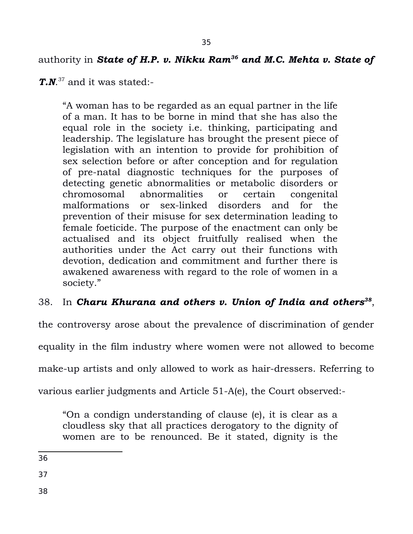# authority in *State of H.P. v. Nikku Ram[36](#page-34-0) and M.C. Mehta v. State of*

*T.N*. [37](#page-34-1) and it was stated:-

"A woman has to be regarded as an equal partner in the life of a man. It has to be borne in mind that she has also the equal role in the society i.e. thinking, participating and leadership. The legislature has brought the present piece of legislation with an intention to provide for prohibition of sex selection before or after conception and for regulation of pre-natal diagnostic techniques for the purposes of detecting genetic abnormalities or metabolic disorders or chromosomal abnormalities or certain congenital malformations or sex-linked disorders and for the prevention of their misuse for sex determination leading to female foeticide. The purpose of the enactment can only be actualised and its object fruitfully realised when the authorities under the Act carry out their functions with devotion, dedication and commitment and further there is awakened awareness with regard to the role of women in a society."

# 38. In *Charu Khurana and others v. Union of India and others[38](#page-34-2)* ,

the controversy arose about the prevalence of discrimination of gender

equality in the film industry where women were not allowed to become

make-up artists and only allowed to work as hair-dressers. Referring to

various earlier judgments and Article 51-A(e), the Court observed:-

"On a condign understanding of clause (e), it is clear as a cloudless sky that all practices derogatory to the dignity of women are to be renounced. Be it stated, dignity is the

<span id="page-34-0"></span>36

<span id="page-34-1"></span>37

<span id="page-34-2"></span>38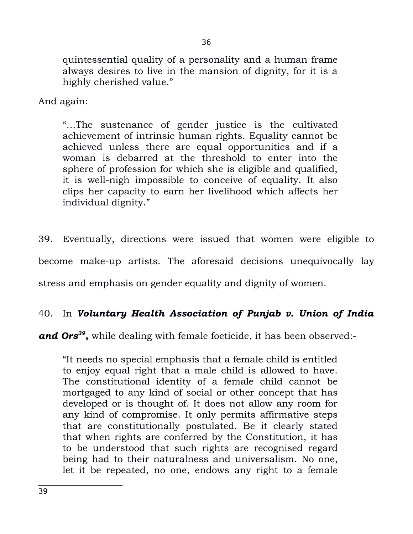quintessential quality of a personality and a human frame always desires to live in the mansion of dignity, for it is a highly cherished value."

And again:

"…The sustenance of gender justice is the cultivated achievement of intrinsic human rights. Equality cannot be achieved unless there are equal opportunities and if a woman is debarred at the threshold to enter into the sphere of profession for which she is eligible and qualified, it is well-nigh impossible to conceive of equality. It also clips her capacity to earn her livelihood which affects her individual dignity."

39. Eventually, directions were issued that women were eligible to become make-up artists. The aforesaid decisions unequivocally lay stress and emphasis on gender equality and dignity of women.

# 40. In *Voluntary Health Association of Punjab v. Union of India*

and Ors<sup>[39](#page-35-0)</sup>, while dealing with female foeticide, it has been observed:-

<span id="page-35-0"></span>"It needs no special emphasis that a female child is entitled to enjoy equal right that a male child is allowed to have. The constitutional identity of a female child cannot be mortgaged to any kind of social or other concept that has developed or is thought of. It does not allow any room for any kind of compromise. It only permits affirmative steps that are constitutionally postulated. Be it clearly stated that when rights are conferred by the Constitution, it has to be understood that such rights are recognised regard being had to their naturalness and universalism. No one, let it be repeated, no one, endows any right to a female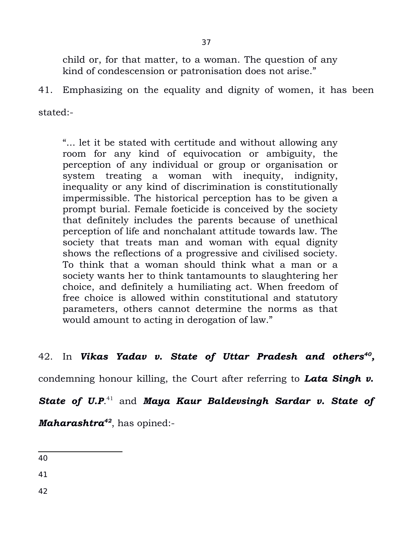37

child or, for that matter, to a woman. The question of any kind of condescension or patronisation does not arise."

41. Emphasizing on the equality and dignity of women, it has been

stated:-

"... let it be stated with certitude and without allowing any room for any kind of equivocation or ambiguity, the perception of any individual or group or organisation or system treating a woman with inequity, indignity, inequality or any kind of discrimination is constitutionally impermissible. The historical perception has to be given a prompt burial. Female foeticide is conceived by the society that definitely includes the parents because of unethical perception of life and nonchalant attitude towards law. The society that treats man and woman with equal dignity shows the reflections of a progressive and civilised society. To think that a woman should think what a man or a society wants her to think tantamounts to slaughtering her choice, and definitely a humiliating act. When freedom of free choice is allowed within constitutional and statutory parameters, others cannot determine the norms as that would amount to acting in derogation of law."

## 42. In *Vikas Yadav v. State of Uttar Pradesh and others[40](#page-36-0) ,*

condemning honour killing, the Court after referring to *Lata Singh v.*

*State of U.P*. [41](#page-36-1) and *Maya Kaur Baldevsingh Sardar v. State of*

*Maharashtra[42](#page-36-2)* , has opined:-

<span id="page-36-0"></span>40

<span id="page-36-1"></span>41

<span id="page-36-2"></span>42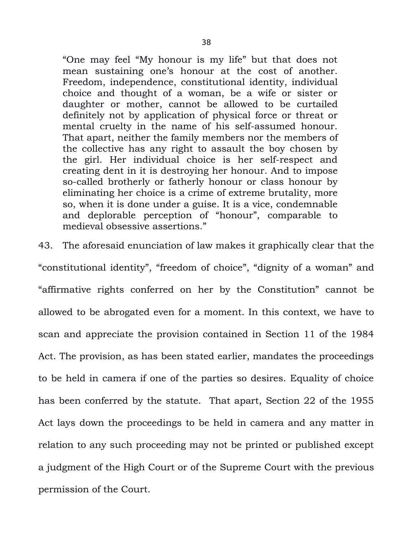"One may feel "My honour is my life" but that does not mean sustaining one's honour at the cost of another. Freedom, independence, constitutional identity, individual choice and thought of a woman, be a wife or sister or daughter or mother, cannot be allowed to be curtailed definitely not by application of physical force or threat or mental cruelty in the name of his self-assumed honour. That apart, neither the family members nor the members of the collective has any right to assault the boy chosen by the girl. Her individual choice is her self-respect and creating dent in it is destroying her honour. And to impose so-called brotherly or fatherly honour or class honour by eliminating her choice is a crime of extreme brutality, more so, when it is done under a guise. It is a vice, condemnable and deplorable perception of "honour", comparable to medieval obsessive assertions."

43. The aforesaid enunciation of law makes it graphically clear that the "constitutional identity", "freedom of choice", "dignity of a woman" and "affirmative rights conferred on her by the Constitution" cannot be allowed to be abrogated even for a moment. In this context, we have to scan and appreciate the provision contained in Section 11 of the 1984 Act. The provision, as has been stated earlier, mandates the proceedings to be held in camera if one of the parties so desires. Equality of choice has been conferred by the statute. That apart, Section 22 of the 1955 Act lays down the proceedings to be held in camera and any matter in relation to any such proceeding may not be printed or published except a judgment of the High Court or of the Supreme Court with the previous permission of the Court.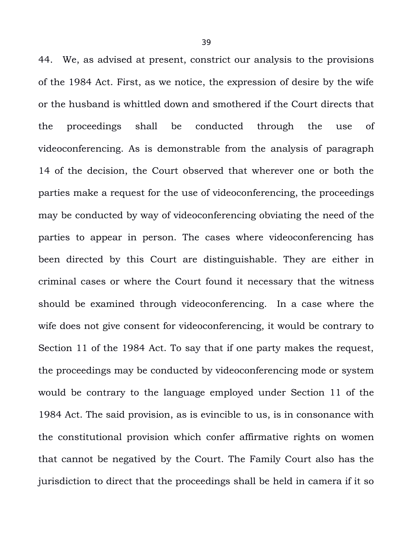44. We, as advised at present, constrict our analysis to the provisions of the 1984 Act. First, as we notice, the expression of desire by the wife or the husband is whittled down and smothered if the Court directs that the proceedings shall be conducted through the use of videoconferencing. As is demonstrable from the analysis of paragraph 14 of the decision, the Court observed that wherever one or both the parties make a request for the use of videoconferencing, the proceedings may be conducted by way of videoconferencing obviating the need of the parties to appear in person. The cases where videoconferencing has been directed by this Court are distinguishable. They are either in criminal cases or where the Court found it necessary that the witness should be examined through videoconferencing. In a case where the wife does not give consent for videoconferencing, it would be contrary to Section 11 of the 1984 Act. To say that if one party makes the request, the proceedings may be conducted by videoconferencing mode or system would be contrary to the language employed under Section 11 of the 1984 Act. The said provision, as is evincible to us, is in consonance with the constitutional provision which confer affirmative rights on women that cannot be negatived by the Court. The Family Court also has the jurisdiction to direct that the proceedings shall be held in camera if it so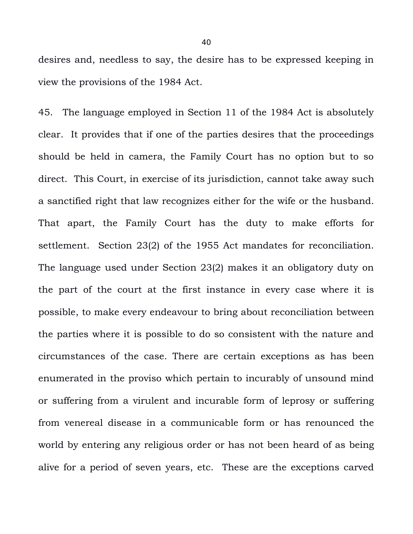desires and, needless to say, the desire has to be expressed keeping in view the provisions of the 1984 Act.

45. The language employed in Section 11 of the 1984 Act is absolutely clear. It provides that if one of the parties desires that the proceedings should be held in camera, the Family Court has no option but to so direct. This Court, in exercise of its jurisdiction, cannot take away such a sanctified right that law recognizes either for the wife or the husband. That apart, the Family Court has the duty to make efforts for settlement. Section 23(2) of the 1955 Act mandates for reconciliation. The language used under Section 23(2) makes it an obligatory duty on the part of the court at the first instance in every case where it is possible, to make every endeavour to bring about reconciliation between the parties where it is possible to do so consistent with the nature and circumstances of the case. There are certain exceptions as has been enumerated in the proviso which pertain to incurably of unsound mind or suffering from a virulent and incurable form of leprosy or suffering from venereal disease in a communicable form or has renounced the world by entering any religious order or has not been heard of as being alive for a period of seven years, etc. These are the exceptions carved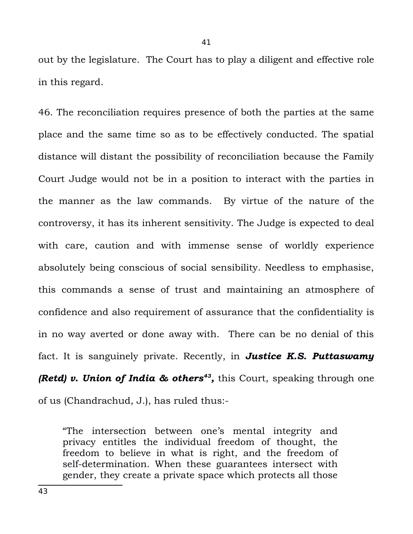out by the legislature. The Court has to play a diligent and effective role in this regard.

46. The reconciliation requires presence of both the parties at the same place and the same time so as to be effectively conducted. The spatial distance will distant the possibility of reconciliation because the Family Court Judge would not be in a position to interact with the parties in the manner as the law commands. By virtue of the nature of the controversy, it has its inherent sensitivity. The Judge is expected to deal with care, caution and with immense sense of worldly experience absolutely being conscious of social sensibility. Needless to emphasise, this commands a sense of trust and maintaining an atmosphere of confidence and also requirement of assurance that the confidentiality is in no way averted or done away with. There can be no denial of this fact. It is sanguinely private. Recently, in *Justice K.S. Puttaswamy (Retd) v. Union of India & others<sup>[43](#page-40-0)</sup>, this Court, speaking through one* of us (Chandrachud, J.), has ruled thus:-

<span id="page-40-0"></span>"The intersection between one's mental integrity and privacy entitles the individual freedom of thought, the freedom to believe in what is right, and the freedom of self-determination. When these guarantees intersect with gender, they create a private space which protects all those

41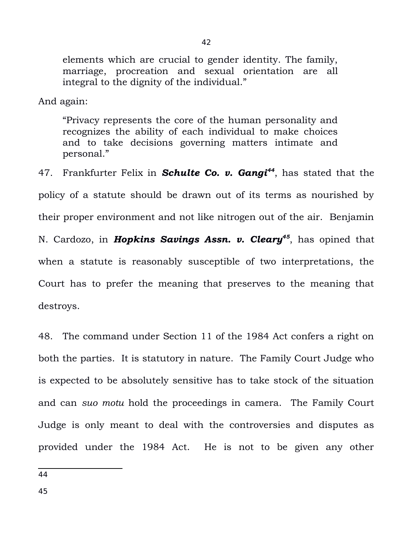elements which are crucial to gender identity. The family, marriage, procreation and sexual orientation are all integral to the dignity of the individual."

And again:

"Privacy represents the core of the human personality and recognizes the ability of each individual to make choices and to take decisions governing matters intimate and personal."

47. Frankfurter Felix in *Schulte Co. v. Gangi[44](#page-41-0)*, has stated that the policy of a statute should be drawn out of its terms as nourished by their proper environment and not like nitrogen out of the air. Benjamin N. Cardozo, in *Hopkins Savings Assn. v. Cleary[45](#page-41-1)*, has opined that when a statute is reasonably susceptible of two interpretations, the Court has to prefer the meaning that preserves to the meaning that destroys.

48. The command under Section 11 of the 1984 Act confers a right on both the parties. It is statutory in nature. The Family Court Judge who is expected to be absolutely sensitive has to take stock of the situation and can *suo motu* hold the proceedings in camera. The Family Court Judge is only meant to deal with the controversies and disputes as provided under the 1984 Act. He is not to be given any other

<span id="page-41-1"></span><span id="page-41-0"></span>44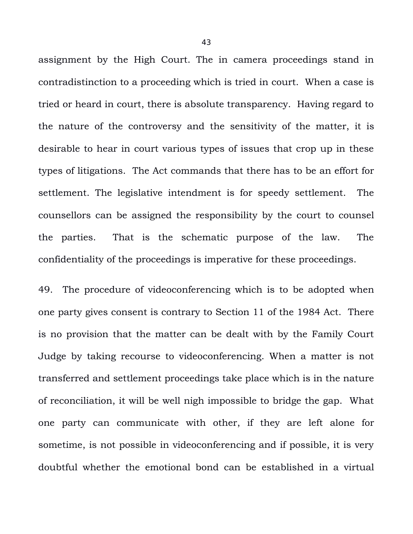assignment by the High Court. The in camera proceedings stand in contradistinction to a proceeding which is tried in court. When a case is tried or heard in court, there is absolute transparency. Having regard to the nature of the controversy and the sensitivity of the matter, it is desirable to hear in court various types of issues that crop up in these types of litigations. The Act commands that there has to be an effort for settlement. The legislative intendment is for speedy settlement. The counsellors can be assigned the responsibility by the court to counsel the parties. That is the schematic purpose of the law. The confidentiality of the proceedings is imperative for these proceedings.

49. The procedure of videoconferencing which is to be adopted when one party gives consent is contrary to Section 11 of the 1984 Act. There is no provision that the matter can be dealt with by the Family Court Judge by taking recourse to videoconferencing. When a matter is not transferred and settlement proceedings take place which is in the nature of reconciliation, it will be well nigh impossible to bridge the gap. What one party can communicate with other, if they are left alone for sometime, is not possible in videoconferencing and if possible, it is very doubtful whether the emotional bond can be established in a virtual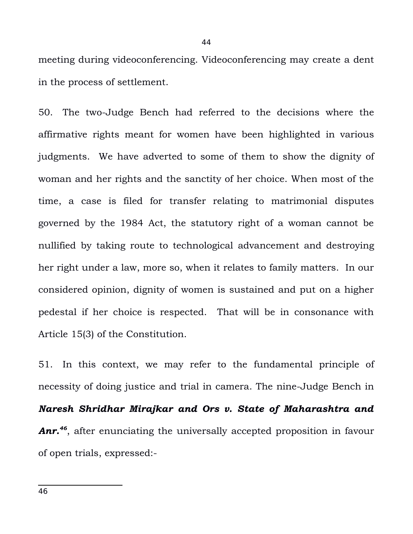meeting during videoconferencing. Videoconferencing may create a dent in the process of settlement.

50. The two-Judge Bench had referred to the decisions where the affirmative rights meant for women have been highlighted in various judgments. We have adverted to some of them to show the dignity of woman and her rights and the sanctity of her choice. When most of the time, a case is filed for transfer relating to matrimonial disputes governed by the 1984 Act, the statutory right of a woman cannot be nullified by taking route to technological advancement and destroying her right under a law, more so, when it relates to family matters. In our considered opinion, dignity of women is sustained and put on a higher pedestal if her choice is respected. That will be in consonance with Article 15(3) of the Constitution.

<span id="page-43-0"></span>51. In this context, we may refer to the fundamental principle of necessity of doing justice and trial in camera. The nine-Judge Bench in *Naresh Shridhar Mirajkar and Ors v. State of Maharashtra and Anr.[46](#page-43-0)* , after enunciating the universally accepted proposition in favour of open trials, expressed:-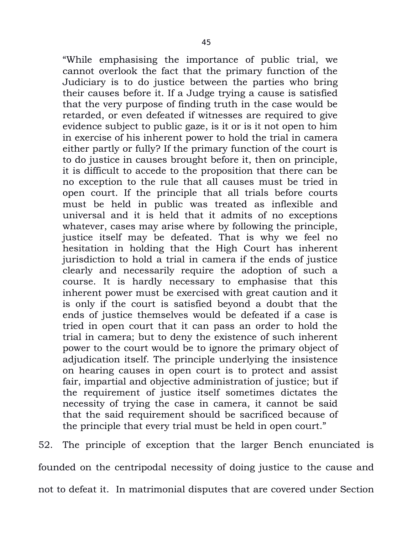"While emphasising the importance of public trial, we cannot overlook the fact that the primary function of the Judiciary is to do justice between the parties who bring their causes before it. If a Judge trying a cause is satisfied that the very purpose of finding truth in the case would be retarded, or even defeated if witnesses are required to give evidence subject to public gaze, is it or is it not open to him in exercise of his inherent power to hold the trial in camera either partly or fully? If the primary function of the court is to do justice in causes brought before it, then on principle, it is difficult to accede to the proposition that there can be no exception to the rule that all causes must be tried in open court. If the principle that all trials before courts must be held in public was treated as inflexible and universal and it is held that it admits of no exceptions whatever, cases may arise where by following the principle, justice itself may be defeated. That is why we feel no hesitation in holding that the High Court has inherent jurisdiction to hold a trial in camera if the ends of justice clearly and necessarily require the adoption of such a course. It is hardly necessary to emphasise that this inherent power must be exercised with great caution and it is only if the court is satisfied beyond a doubt that the ends of justice themselves would be defeated if a case is tried in open court that it can pass an order to hold the trial in camera; but to deny the existence of such inherent power to the court would be to ignore the primary object of adjudication itself. The principle underlying the insistence on hearing causes in open court is to protect and assist fair, impartial and objective administration of justice; but if the requirement of justice itself sometimes dictates the necessity of trying the case in camera, it cannot be said that the said requirement should be sacrificed because of the principle that every trial must be held in open court."

52. The principle of exception that the larger Bench enunciated is founded on the centripodal necessity of doing justice to the cause and not to defeat it. In matrimonial disputes that are covered under Section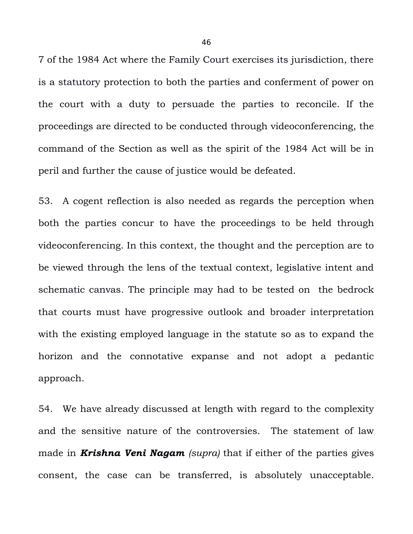7 of the 1984 Act where the Family Court exercises its jurisdiction, there is a statutory protection to both the parties and conferment of power on the court with a duty to persuade the parties to reconcile. If the proceedings are directed to be conducted through videoconferencing, the command of the Section as well as the spirit of the 1984 Act will be in peril and further the cause of justice would be defeated.

53. A cogent reflection is also needed as regards the perception when both the parties concur to have the proceedings to be held through videoconferencing. In this context, the thought and the perception are to be viewed through the lens of the textual context, legislative intent and schematic canvas. The principle may had to be tested on the bedrock that courts must have progressive outlook and broader interpretation with the existing employed language in the statute so as to expand the horizon and the connotative expanse and not adopt a pedantic approach.

54. We have already discussed at length with regard to the complexity and the sensitive nature of the controversies. The statement of law made in *Krishna Veni Nagam (supra)* that if either of the parties gives consent, the case can be transferred, is absolutely unacceptable.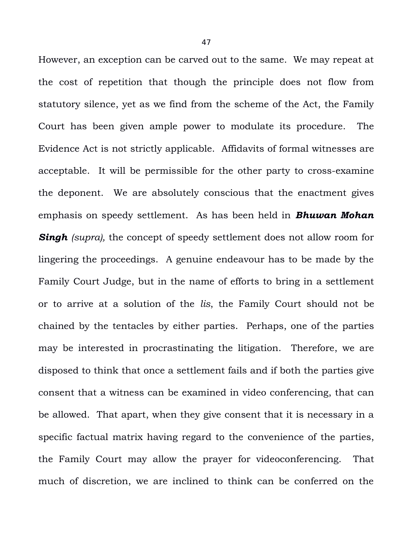However, an exception can be carved out to the same. We may repeat at the cost of repetition that though the principle does not flow from statutory silence, yet as we find from the scheme of the Act, the Family Court has been given ample power to modulate its procedure. The Evidence Act is not strictly applicable. Affidavits of formal witnesses are acceptable. It will be permissible for the other party to cross-examine the deponent. We are absolutely conscious that the enactment gives emphasis on speedy settlement. As has been held in *Bhuwan Mohan* **Singh** *(supra)*, the concept of speedy settlement does not allow room for lingering the proceedings. A genuine endeavour has to be made by the Family Court Judge, but in the name of efforts to bring in a settlement or to arrive at a solution of the *lis*, the Family Court should not be chained by the tentacles by either parties. Perhaps, one of the parties may be interested in procrastinating the litigation. Therefore, we are disposed to think that once a settlement fails and if both the parties give consent that a witness can be examined in video conferencing, that can be allowed. That apart, when they give consent that it is necessary in a specific factual matrix having regard to the convenience of the parties, the Family Court may allow the prayer for videoconferencing. That much of discretion, we are inclined to think can be conferred on the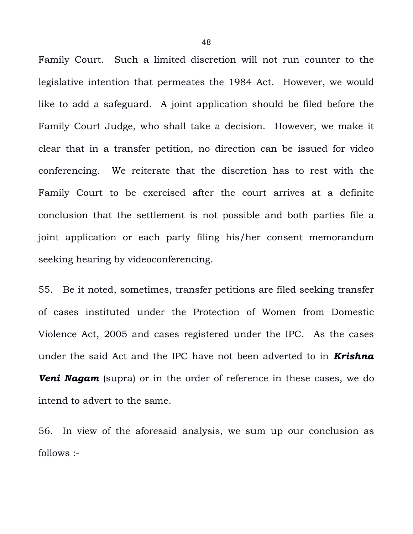Family Court. Such a limited discretion will not run counter to the legislative intention that permeates the 1984 Act. However, we would like to add a safeguard. A joint application should be filed before the Family Court Judge, who shall take a decision. However, we make it clear that in a transfer petition, no direction can be issued for video conferencing. We reiterate that the discretion has to rest with the Family Court to be exercised after the court arrives at a definite conclusion that the settlement is not possible and both parties file a joint application or each party filing his/her consent memorandum seeking hearing by videoconferencing.

55. Be it noted, sometimes, transfer petitions are filed seeking transfer of cases instituted under the Protection of Women from Domestic Violence Act, 2005 and cases registered under the IPC. As the cases under the said Act and the IPC have not been adverted to in *Krishna Veni Nagam* (supra) or in the order of reference in these cases, we do intend to advert to the same.

56. In view of the aforesaid analysis, we sum up our conclusion as follows :-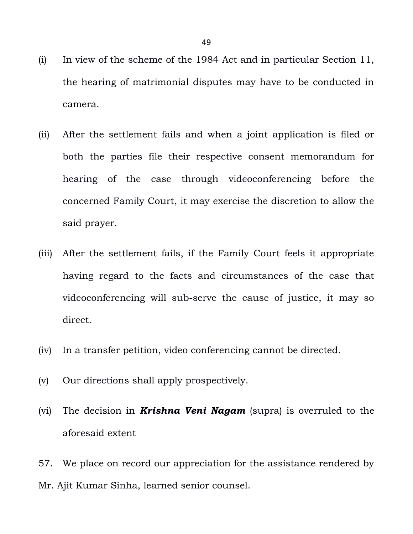- (i) In view of the scheme of the 1984 Act and in particular Section 11, the hearing of matrimonial disputes may have to be conducted in camera.
- (ii) After the settlement fails and when a joint application is filed or both the parties file their respective consent memorandum for hearing of the case through videoconferencing before the concerned Family Court, it may exercise the discretion to allow the said prayer.
- (iii) After the settlement fails, if the Family Court feels it appropriate having regard to the facts and circumstances of the case that videoconferencing will sub-serve the cause of justice, it may so direct.
- (iv) In a transfer petition, video conferencing cannot be directed.
- (v) Our directions shall apply prospectively.
- (vi) The decision in *Krishna Veni Nagam* (supra) is overruled to the aforesaid extent

57. We place on record our appreciation for the assistance rendered by Mr. Ajit Kumar Sinha, learned senior counsel.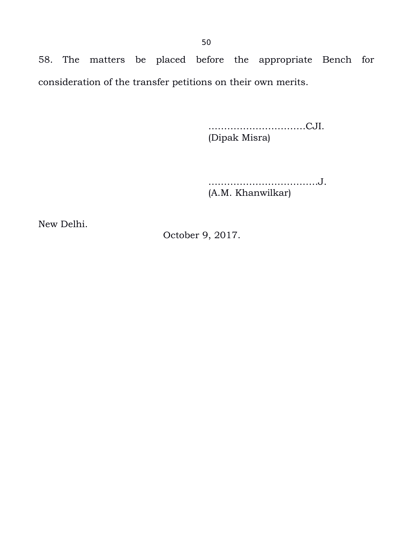58. The matters be placed before the appropriate Bench for consideration of the transfer petitions on their own merits.

> ………………………….CJI. (Dipak Misra)

….………………………….J. (A.M. Khanwilkar)

New Delhi.

October 9, 2017.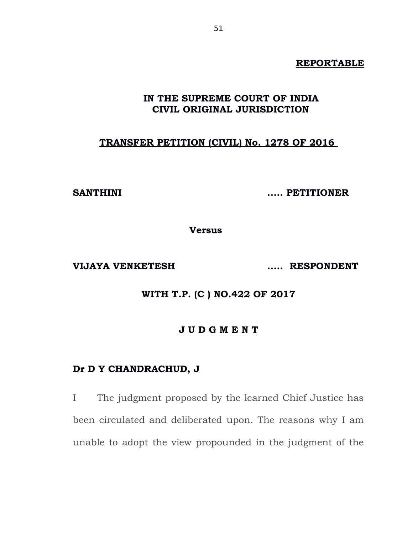#### **REPORTABLE**

## **IN THE SUPREME COURT OF INDIA CIVIL ORIGINAL JURISDICTION**

# **TRANSFER PETITION (CIVIL) No. 1278 OF 2016**

**SANTHINI ..... PETITIONER**

**Versus** 

**VIJAYA VENKETESH ..... RESPONDENT**

**WITH T.P. (C ) NO.422 OF 2017**

#### **J U D G M E N T**

## **Dr D Y CHANDRACHUD, J**

I The judgment proposed by the learned Chief Justice has been circulated and deliberated upon. The reasons why I am unable to adopt the view propounded in the judgment of the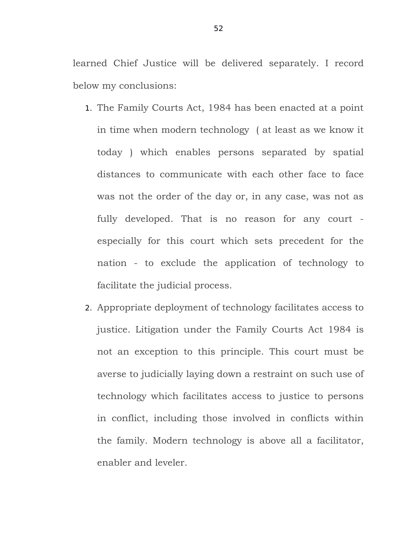learned Chief Justice will be delivered separately. I record below my conclusions:

- 1. The Family Courts Act, 1984 has been enacted at a point in time when modern technology ( at least as we know it today ) which enables persons separated by spatial distances to communicate with each other face to face was not the order of the day or, in any case, was not as fully developed. That is no reason for any court especially for this court which sets precedent for the nation - to exclude the application of technology to facilitate the judicial process.
- 2. Appropriate deployment of technology facilitates access to justice. Litigation under the Family Courts Act 1984 is not an exception to this principle. This court must be averse to judicially laying down a restraint on such use of technology which facilitates access to justice to persons in conflict, including those involved in conflicts within the family. Modern technology is above all a facilitator, enabler and leveler.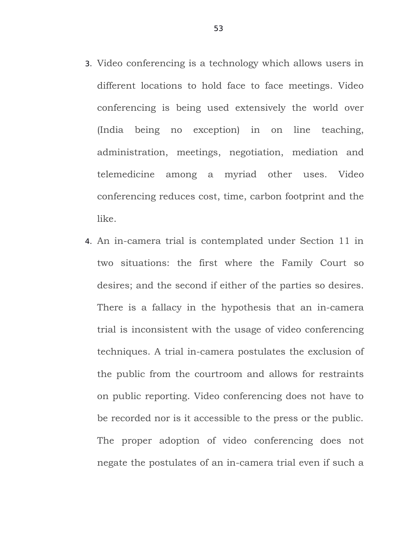- 3. Video conferencing is a technology which allows users in different locations to hold face to face meetings. Video conferencing is being used extensively the world over (India being no exception) in on line teaching, administration, meetings, negotiation, mediation and telemedicine among a myriad other uses. Video conferencing reduces cost, time, carbon footprint and the like.
- 4. An in-camera trial is contemplated under Section 11 in two situations: the first where the Family Court so desires; and the second if either of the parties so desires. There is a fallacy in the hypothesis that an in-camera trial is inconsistent with the usage of video conferencing techniques. A trial in-camera postulates the exclusion of the public from the courtroom and allows for restraints on public reporting. Video conferencing does not have to be recorded nor is it accessible to the press or the public. The proper adoption of video conferencing does not negate the postulates of an in-camera trial even if such a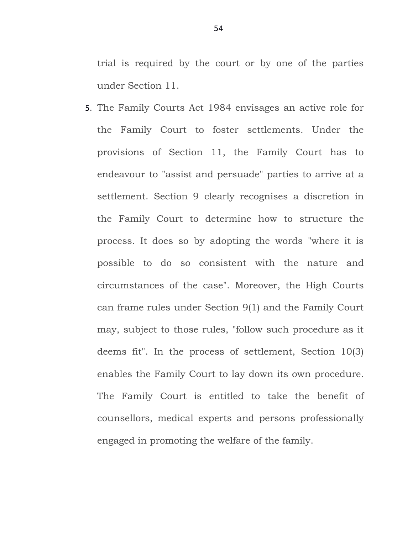trial is required by the court or by one of the parties under Section 11.

5. The Family Courts Act 1984 envisages an active role for the Family Court to foster settlements. Under the provisions of Section 11, the Family Court has to endeavour to "assist and persuade" parties to arrive at a settlement. Section 9 clearly recognises a discretion in the Family Court to determine how to structure the process. It does so by adopting the words "where it is possible to do so consistent with the nature and circumstances of the case". Moreover, the High Courts can frame rules under Section 9(1) and the Family Court may, subject to those rules, "follow such procedure as it deems fit". In the process of settlement, Section 10(3) enables the Family Court to lay down its own procedure. The Family Court is entitled to take the benefit of counsellors, medical experts and persons professionally engaged in promoting the welfare of the family.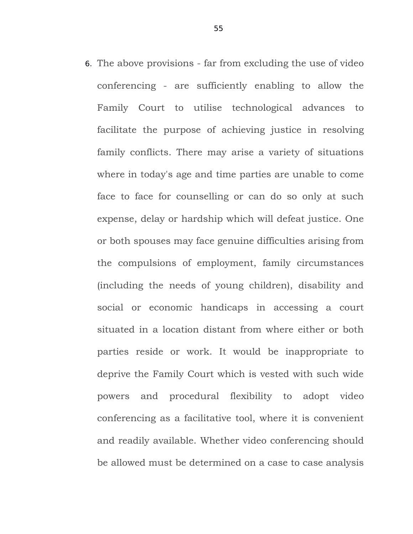6. The above provisions - far from excluding the use of video conferencing - are sufficiently enabling to allow the Family Court to utilise technological advances to facilitate the purpose of achieving justice in resolving family conflicts. There may arise a variety of situations where in today's age and time parties are unable to come face to face for counselling or can do so only at such expense, delay or hardship which will defeat justice. One or both spouses may face genuine difficulties arising from the compulsions of employment, family circumstances (including the needs of young children), disability and social or economic handicaps in accessing a court situated in a location distant from where either or both parties reside or work. It would be inappropriate to deprive the Family Court which is vested with such wide powers and procedural flexibility to adopt video conferencing as a facilitative tool, where it is convenient and readily available. Whether video conferencing should be allowed must be determined on a case to case analysis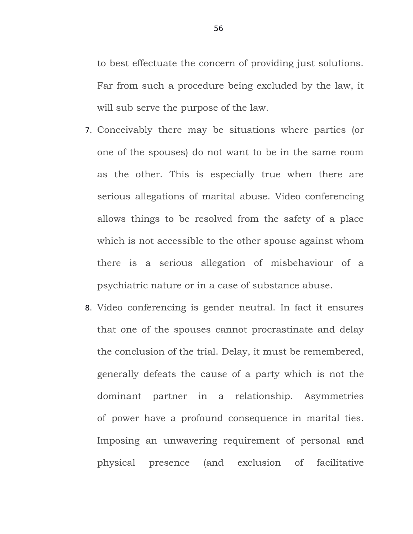to best effectuate the concern of providing just solutions. Far from such a procedure being excluded by the law, it will sub serve the purpose of the law.

- 7. Conceivably there may be situations where parties (or one of the spouses) do not want to be in the same room as the other. This is especially true when there are serious allegations of marital abuse. Video conferencing allows things to be resolved from the safety of a place which is not accessible to the other spouse against whom there is a serious allegation of misbehaviour of a psychiatric nature or in a case of substance abuse.
- 8. Video conferencing is gender neutral. In fact it ensures that one of the spouses cannot procrastinate and delay the conclusion of the trial. Delay, it must be remembered, generally defeats the cause of a party which is not the dominant partner in a relationship. Asymmetries of power have a profound consequence in marital ties. Imposing an unwavering requirement of personal and physical presence (and exclusion of facilitative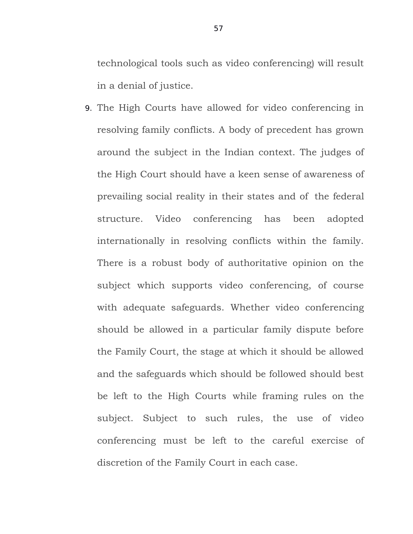technological tools such as video conferencing) will result in a denial of justice.

9. The High Courts have allowed for video conferencing in resolving family conflicts. A body of precedent has grown around the subject in the Indian context. The judges of the High Court should have a keen sense of awareness of prevailing social reality in their states and of the federal structure. Video conferencing has been adopted internationally in resolving conflicts within the family. There is a robust body of authoritative opinion on the subject which supports video conferencing, of course with adequate safeguards. Whether video conferencing should be allowed in a particular family dispute before the Family Court, the stage at which it should be allowed and the safeguards which should be followed should best be left to the High Courts while framing rules on the subject. Subject to such rules, the use of video conferencing must be left to the careful exercise of discretion of the Family Court in each case.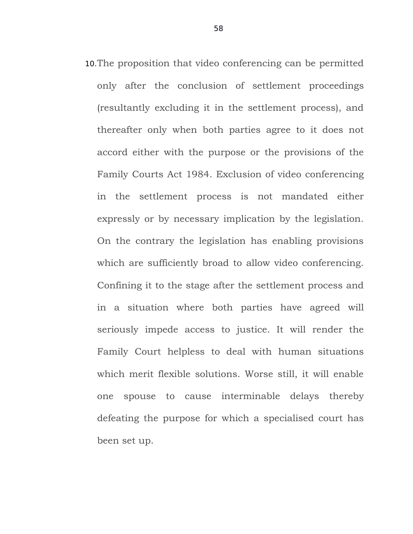10.The proposition that video conferencing can be permitted only after the conclusion of settlement proceedings (resultantly excluding it in the settlement process), and thereafter only when both parties agree to it does not accord either with the purpose or the provisions of the Family Courts Act 1984. Exclusion of video conferencing in the settlement process is not mandated either expressly or by necessary implication by the legislation. On the contrary the legislation has enabling provisions which are sufficiently broad to allow video conferencing. Confining it to the stage after the settlement process and in a situation where both parties have agreed will seriously impede access to justice. It will render the Family Court helpless to deal with human situations which merit flexible solutions. Worse still, it will enable one spouse to cause interminable delays thereby defeating the purpose for which a specialised court has been set up.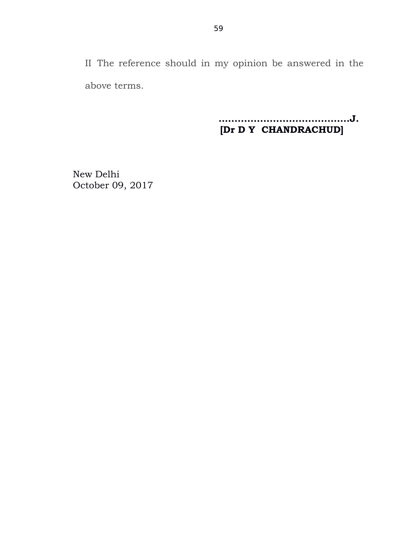II The reference should in my opinion be answered in the above terms.

> **…......................................J. [Dr D Y CHANDRACHUD]**

New Delhi October 09, 2017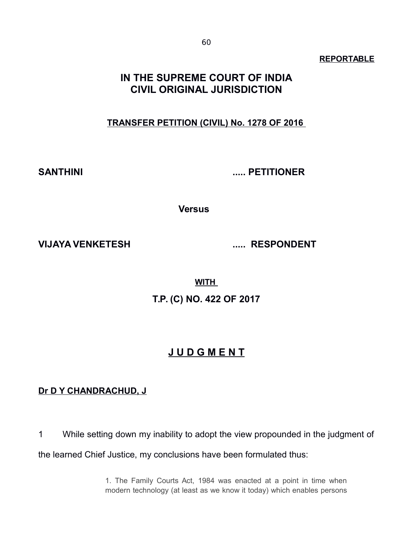#### **REPORTABLE**

## **IN THE SUPREME COURT OF INDIA CIVIL ORIGINAL JURISDICTION**

## **TRANSFER PETITION (CIVIL) No. 1278 OF 2016**

**SANTHINI ..... PETITIONER**

**Versus** 

**VIJAYA VENKETESH ..... RESPONDENT**

**WITH** 

**T.P. (C) NO. 422 OF 2017**

## **J U D G M E N T**

## **Dr D Y CHANDRACHUD, J**

1 While setting down my inability to adopt the view propounded in the judgment of the learned Chief Justice, my conclusions have been formulated thus:

> 1. The Family Courts Act, 1984 was enacted at a point in time when modern technology (at least as we know it today) which enables persons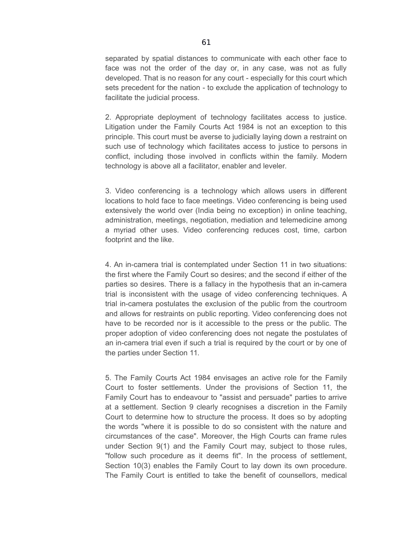separated by spatial distances to communicate with each other face to face was not the order of the day or, in any case, was not as fully developed. That is no reason for any court - especially for this court which sets precedent for the nation - to exclude the application of technology to facilitate the judicial process.

2. Appropriate deployment of technology facilitates access to justice. Litigation under the Family Courts Act 1984 is not an exception to this principle. This court must be averse to judicially laying down a restraint on such use of technology which facilitates access to justice to persons in conflict, including those involved in conflicts within the family. Modern technology is above all a facilitator, enabler and leveler.

3. Video conferencing is a technology which allows users in different locations to hold face to face meetings. Video conferencing is being used extensively the world over (India being no exception) in online teaching, administration, meetings, negotiation, mediation and telemedicine among a myriad other uses. Video conferencing reduces cost, time, carbon footprint and the like.

4. An in-camera trial is contemplated under Section 11 in two situations: the first where the Family Court so desires; and the second if either of the parties so desires. There is a fallacy in the hypothesis that an in-camera trial is inconsistent with the usage of video conferencing techniques. A trial in-camera postulates the exclusion of the public from the courtroom and allows for restraints on public reporting. Video conferencing does not have to be recorded nor is it accessible to the press or the public. The proper adoption of video conferencing does not negate the postulates of an in-camera trial even if such a trial is required by the court or by one of the parties under Section 11.

5. The Family Courts Act 1984 envisages an active role for the Family Court to foster settlements. Under the provisions of Section 11, the Family Court has to endeavour to "assist and persuade" parties to arrive at a settlement. Section 9 clearly recognises a discretion in the Family Court to determine how to structure the process. It does so by adopting the words "where it is possible to do so consistent with the nature and circumstances of the case". Moreover, the High Courts can frame rules under Section 9(1) and the Family Court may, subject to those rules, "follow such procedure as it deems fit". In the process of settlement, Section 10(3) enables the Family Court to lay down its own procedure. The Family Court is entitled to take the benefit of counsellors, medical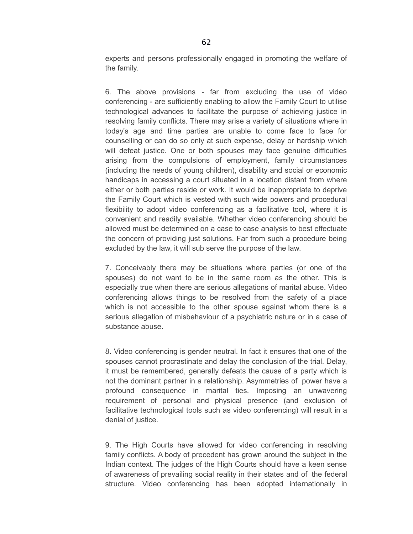experts and persons professionally engaged in promoting the welfare of the family.

6. The above provisions - far from excluding the use of video conferencing - are sufficiently enabling to allow the Family Court to utilise technological advances to facilitate the purpose of achieving justice in resolving family conflicts. There may arise a variety of situations where in today's age and time parties are unable to come face to face for counselling or can do so only at such expense, delay or hardship which will defeat justice. One or both spouses may face genuine difficulties arising from the compulsions of employment, family circumstances (including the needs of young children), disability and social or economic handicaps in accessing a court situated in a location distant from where either or both parties reside or work. It would be inappropriate to deprive the Family Court which is vested with such wide powers and procedural flexibility to adopt video conferencing as a facilitative tool, where it is convenient and readily available. Whether video conferencing should be allowed must be determined on a case to case analysis to best effectuate the concern of providing just solutions. Far from such a procedure being excluded by the law, it will sub serve the purpose of the law.

7. Conceivably there may be situations where parties (or one of the spouses) do not want to be in the same room as the other. This is especially true when there are serious allegations of marital abuse. Video conferencing allows things to be resolved from the safety of a place which is not accessible to the other spouse against whom there is a serious allegation of misbehaviour of a psychiatric nature or in a case of substance abuse.

8. Video conferencing is gender neutral. In fact it ensures that one of the spouses cannot procrastinate and delay the conclusion of the trial. Delay, it must be remembered, generally defeats the cause of a party which is not the dominant partner in a relationship. Asymmetries of power have a profound consequence in marital ties. Imposing an unwavering requirement of personal and physical presence (and exclusion of facilitative technological tools such as video conferencing) will result in a denial of justice.

9. The High Courts have allowed for video conferencing in resolving family conflicts. A body of precedent has grown around the subject in the Indian context. The judges of the High Courts should have a keen sense of awareness of prevailing social reality in their states and of the federal structure. Video conferencing has been adopted internationally in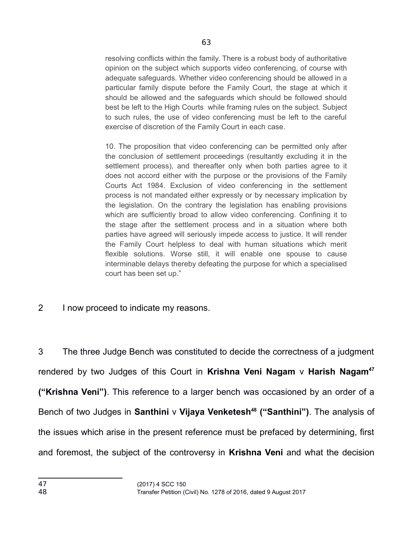resolving conflicts within the family. There is a robust body of authoritative opinion on the subject which supports video conferencing, of course with adequate safeguards. Whether video conferencing should be allowed in a particular family dispute before the Family Court, the stage at which it should be allowed and the safeguards which should be followed should best be left to the High Courts while framing rules on the subject. Subject to such rules, the use of video conferencing must be left to the careful exercise of discretion of the Family Court in each case.

10. The proposition that video conferencing can be permitted only after the conclusion of settlement proceedings (resultantly excluding it in the settlement process), and thereafter only when both parties agree to it does not accord either with the purpose or the provisions of the Family Courts Act 1984. Exclusion of video conferencing in the settlement process is not mandated either expressly or by necessary implication by the legislation. On the contrary the legislation has enabling provisions which are sufficiently broad to allow video conferencing. Confining it to the stage after the settlement process and in a situation where both parties have agreed will seriously impede access to justice. It will render the Family Court helpless to deal with human situations which merit flexible solutions. Worse still, it will enable one spouse to cause interminable delays thereby defeating the purpose for which a specialised court has been set up."

2 I now proceed to indicate my reasons.

3 The three Judge Bench was constituted to decide the correctness of a judgment rendered by two Judges of this Court in **Krishna Veni Nagam** v **Harish Nagam[47](#page-62-0) ("Krishna Veni")**. This reference to a larger bench was occasioned by an order of a Bench of two Judges in **Santhini** v **Vijaya Venketesh[48](#page-62-1) ("Santhini")**. The analysis of the issues which arise in the present reference must be prefaced by determining, first and foremost, the subject of the controversy in **Krishna Veni** and what the decision

<span id="page-62-1"></span><span id="page-62-0"></span>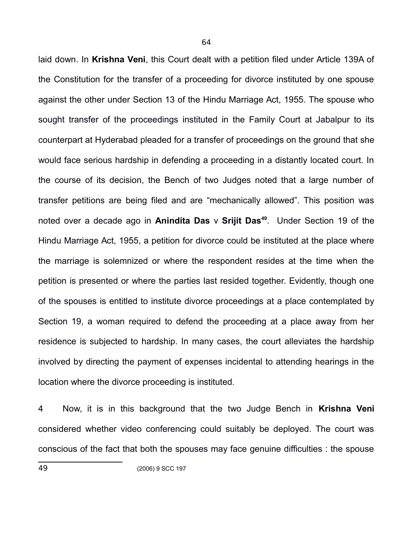laid down. In **Krishna Veni**, this Court dealt with a petition filed under Article 139A of the Constitution for the transfer of a proceeding for divorce instituted by one spouse against the other under Section 13 of the Hindu Marriage Act, 1955. The spouse who sought transfer of the proceedings instituted in the Family Court at Jabalpur to its counterpart at Hyderabad pleaded for a transfer of proceedings on the ground that she would face serious hardship in defending a proceeding in a distantly located court. In the course of its decision, the Bench of two Judges noted that a large number of transfer petitions are being filed and are "mechanically allowed". This position was noted over a decade ago in **Anindita Das** v **Srijit Das[49](#page-63-0)**. Under Section 19 of the Hindu Marriage Act, 1955, a petition for divorce could be instituted at the place where the marriage is solemnized or where the respondent resides at the time when the petition is presented or where the parties last resided together. Evidently, though one of the spouses is entitled to institute divorce proceedings at a place contemplated by Section 19, a woman required to defend the proceeding at a place away from her residence is subjected to hardship. In many cases, the court alleviates the hardship involved by directing the payment of expenses incidental to attending hearings in the location where the divorce proceeding is instituted.

4 Now, it is in this background that the two Judge Bench in **Krishna Veni** considered whether video conferencing could suitably be deployed. The court was conscious of the fact that both the spouses may face genuine difficulties : the spouse

<span id="page-63-0"></span>49 (2006) 9 SCC 197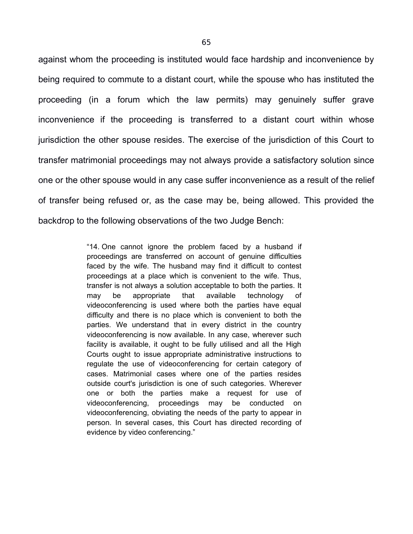against whom the proceeding is instituted would face hardship and inconvenience by being required to commute to a distant court, while the spouse who has instituted the proceeding (in a forum which the law permits) may genuinely suffer grave inconvenience if the proceeding is transferred to a distant court within whose jurisdiction the other spouse resides. The exercise of the jurisdiction of this Court to transfer matrimonial proceedings may not always provide a satisfactory solution since one or the other spouse would in any case suffer inconvenience as a result of the relief of transfer being refused or, as the case may be, being allowed. This provided the backdrop to the following observations of the two Judge Bench:

> "14. One cannot ignore the problem faced by a husband if proceedings are transferred on account of genuine difficulties faced by the wife. The husband may find it difficult to contest proceedings at a place which is convenient to the wife. Thus, transfer is not always a solution acceptable to both the parties. It  $may$  be appropriate that available technology videoconferencing is used where both the parties have equal difficulty and there is no place which is convenient to both the parties. We understand that in every district in the country videoconferencing is now available. In any case, wherever such facility is available, it ought to be fully utilised and all the High Courts ought to issue appropriate administrative instructions to regulate the use of videoconferencing for certain category of cases. Matrimonial cases where one of the parties resides outside court's jurisdiction is one of such categories. Wherever one or both the parties make a request for use of videoconferencing, proceedings may be conducted on videoconferencing, obviating the needs of the party to appear in person. In several cases, this Court has directed recording of evidence by video conferencing."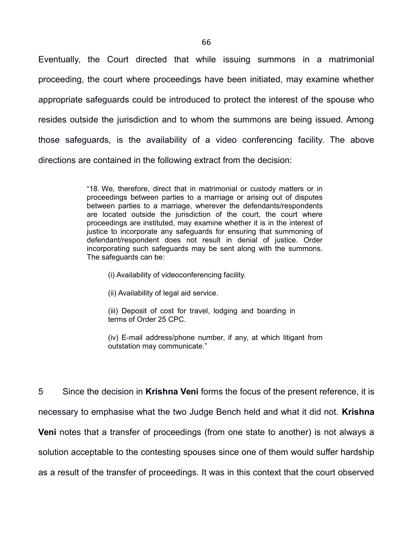Eventually, the Court directed that while issuing summons in a matrimonial proceeding, the court where proceedings have been initiated, may examine whether appropriate safeguards could be introduced to protect the interest of the spouse who resides outside the jurisdiction and to whom the summons are being issued. Among those safeguards, is the availability of a video conferencing facility. The above directions are contained in the following extract from the decision:

> "18. We, therefore, direct that in matrimonial or custody matters or in proceedings between parties to a marriage or arising out of disputes between parties to a marriage, wherever the defendants/respondents are located outside the jurisdiction of the court, the court where proceedings are instituted, may examine whether it is in the interest of justice to incorporate any safeguards for ensuring that summoning of defendant/respondent does not result in denial of justice. Order incorporating such safeguards may be sent along with the summons. The safeguards can be:

- (i) Availability of videoconferencing facility.
- (ii) Availability of legal aid service.

(iii) Deposit of cost for travel, lodging and boarding in terms of Order 25 CPC.

(iv) E-mail address/phone number, if any, at which litigant from outstation may communicate."

5 Since the decision in **Krishna Veni** forms the focus of the present reference, it is necessary to emphasise what the two Judge Bench held and what it did not. **Krishna Veni** notes that a transfer of proceedings (from one state to another) is not always a solution acceptable to the contesting spouses since one of them would suffer hardship as a result of the transfer of proceedings. It was in this context that the court observed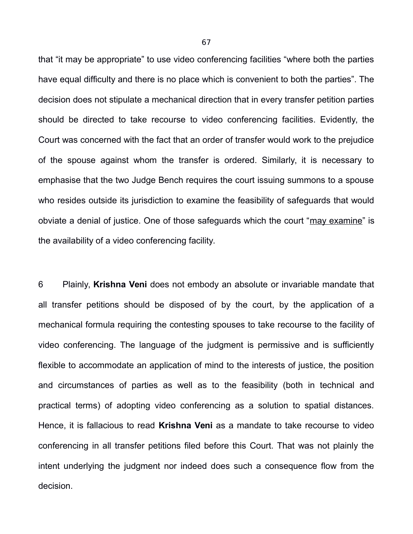that "it may be appropriate" to use video conferencing facilities "where both the parties have equal difficulty and there is no place which is convenient to both the parties". The decision does not stipulate a mechanical direction that in every transfer petition parties should be directed to take recourse to video conferencing facilities. Evidently, the Court was concerned with the fact that an order of transfer would work to the prejudice of the spouse against whom the transfer is ordered. Similarly, it is necessary to emphasise that the two Judge Bench requires the court issuing summons to a spouse who resides outside its jurisdiction to examine the feasibility of safeguards that would obviate a denial of justice. One of those safeguards which the court "may examine" is the availability of a video conferencing facility.

6 Plainly, **Krishna Veni** does not embody an absolute or invariable mandate that all transfer petitions should be disposed of by the court, by the application of a mechanical formula requiring the contesting spouses to take recourse to the facility of video conferencing. The language of the judgment is permissive and is sufficiently flexible to accommodate an application of mind to the interests of justice, the position and circumstances of parties as well as to the feasibility (both in technical and practical terms) of adopting video conferencing as a solution to spatial distances. Hence, it is fallacious to read **Krishna Veni** as a mandate to take recourse to video conferencing in all transfer petitions filed before this Court. That was not plainly the intent underlying the judgment nor indeed does such a consequence flow from the decision.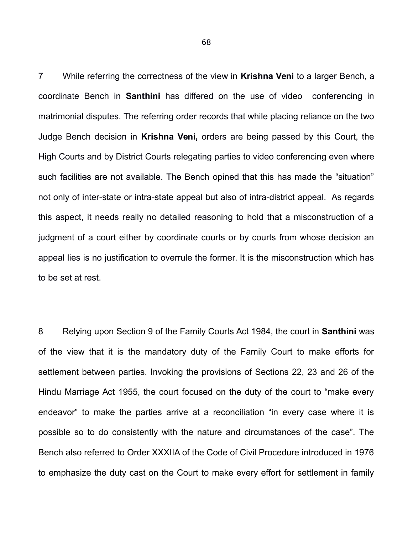7 While referring the correctness of the view in **Krishna Veni** to a larger Bench, a coordinate Bench in **Santhini** has differed on the use of video conferencing in matrimonial disputes. The referring order records that while placing reliance on the two Judge Bench decision in **Krishna Veni,** orders are being passed by this Court, the High Courts and by District Courts relegating parties to video conferencing even where such facilities are not available. The Bench opined that this has made the "situation" not only of inter-state or intra-state appeal but also of intra-district appeal. As regards this aspect, it needs really no detailed reasoning to hold that a misconstruction of a judgment of a court either by coordinate courts or by courts from whose decision an appeal lies is no justification to overrule the former. It is the misconstruction which has to be set at rest.

8 Relying upon Section 9 of the Family Courts Act 1984, the court in **Santhini** was of the view that it is the mandatory duty of the Family Court to make efforts for settlement between parties. Invoking the provisions of Sections 22, 23 and 26 of the Hindu Marriage Act 1955, the court focused on the duty of the court to "make every endeavor" to make the parties arrive at a reconciliation "in every case where it is possible so to do consistently with the nature and circumstances of the case". The Bench also referred to Order XXXIIA of the Code of Civil Procedure introduced in 1976 to emphasize the duty cast on the Court to make every effort for settlement in family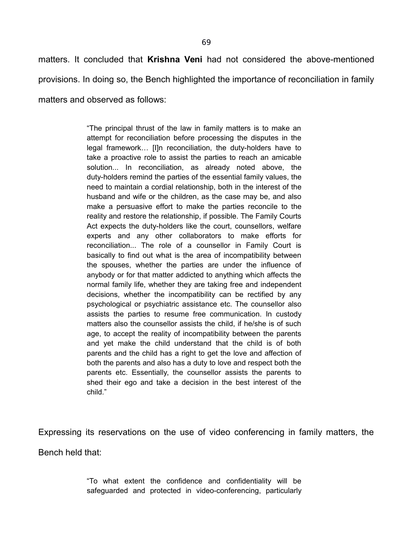matters. It concluded that **Krishna Veni** had not considered the above-mentioned provisions. In doing so, the Bench highlighted the importance of reconciliation in family matters and observed as follows:

> "The principal thrust of the law in family matters is to make an attempt for reconciliation before processing the disputes in the legal framework… [I]n reconciliation, the duty-holders have to take a proactive role to assist the parties to reach an amicable solution... In reconciliation, as already noted above, the duty-holders remind the parties of the essential family values, the need to maintain a cordial relationship, both in the interest of the husband and wife or the children, as the case may be, and also make a persuasive effort to make the parties reconcile to the reality and restore the relationship, if possible. The Family Courts Act expects the duty-holders like the court, counsellors, welfare experts and any other collaborators to make efforts for reconciliation... The role of a counsellor in Family Court is basically to find out what is the area of incompatibility between the spouses, whether the parties are under the influence of anybody or for that matter addicted to anything which affects the normal family life, whether they are taking free and independent decisions, whether the incompatibility can be rectified by any psychological or psychiatric assistance etc. The counsellor also assists the parties to resume free communication. In custody matters also the counsellor assists the child, if he/she is of such age, to accept the reality of incompatibility between the parents and yet make the child understand that the child is of both parents and the child has a right to get the love and affection of both the parents and also has a duty to love and respect both the parents etc. Essentially, the counsellor assists the parents to shed their ego and take a decision in the best interest of the child."

Expressing its reservations on the use of video conferencing in family matters, the Bench held that:

> "To what extent the confidence and confidentiality will be safeguarded and protected in video-conferencing, particularly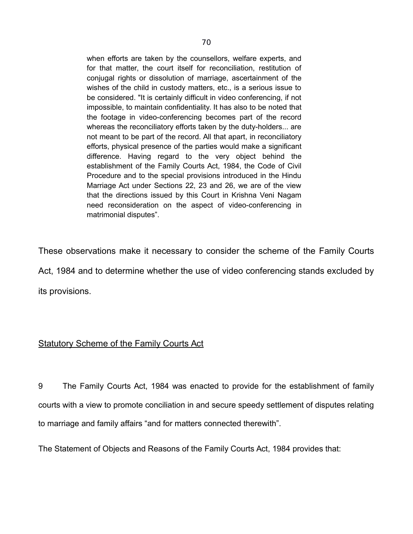when efforts are taken by the counsellors, welfare experts, and for that matter, the court itself for reconciliation, restitution of conjugal rights or dissolution of marriage, ascertainment of the wishes of the child in custody matters, etc., is a serious issue to be considered. "It is certainly difficult in video conferencing, if not impossible, to maintain confidentiality. It has also to be noted that the footage in video-conferencing becomes part of the record whereas the reconciliatory efforts taken by the duty-holders... are not meant to be part of the record. All that apart, in reconciliatory efforts, physical presence of the parties would make a significant difference. Having regard to the very object behind the establishment of the Family Courts Act, 1984, the Code of Civil Procedure and to the special provisions introduced in the Hindu Marriage Act under Sections 22, 23 and 26, we are of the view that the directions issued by this Court in Krishna Veni Nagam need reconsideration on the aspect of video-conferencing in matrimonial disputes".

These observations make it necessary to consider the scheme of the Family Courts Act, 1984 and to determine whether the use of video conferencing stands excluded by its provisions.

## Statutory Scheme of the Family Courts Act

9 The Family Courts Act, 1984 was enacted to provide for the establishment of family courts with a view to promote conciliation in and secure speedy settlement of disputes relating to marriage and family affairs "and for matters connected therewith".

The Statement of Objects and Reasons of the Family Courts Act, 1984 provides that: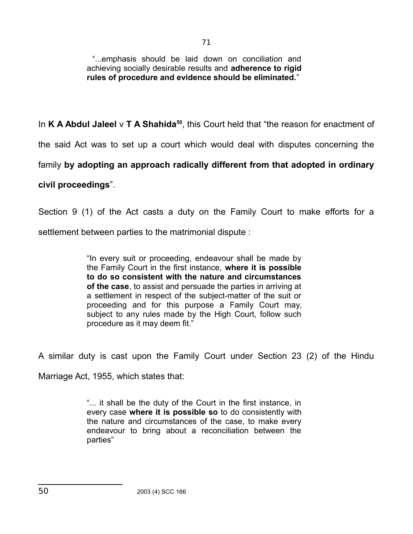71

"...emphasis should be laid down on conciliation and achieving socially desirable results and **adherence to rigid rules of procedure and evidence should be eliminated.**"

In **K A Abdul Jaleel** v **T A Shahida[50](#page-70-0)**, this Court held that "the reason for enactment of the said Act was to set up a court which would deal with disputes concerning the family **by adopting an approach radically different from that adopted in ordinary civil proceedings**".

Section 9 (1) of the Act casts a duty on the Family Court to make efforts for a settlement between parties to the matrimonial dispute :

> "In every suit or proceeding, endeavour shall be made by the Family Court in the first instance, **where it is possible to do so consistent with the nature and circumstances of the case**, to assist and persuade the parties in arriving at a settlement in respect of the subject-matter of the suit or proceeding and for this purpose a Family Court may, subject to any rules made by the High Court, follow such procedure as it may deem fit."

A similar duty is cast upon the Family Court under Section 23 (2) of the Hindu

Marriage Act, 1955, which states that:

<span id="page-70-0"></span>"... it shall be the duty of the Court in the first instance, in every case **where it is possible so** to do consistently with the nature and circumstances of the case, to make every endeavour to bring about a reconciliation between the parties"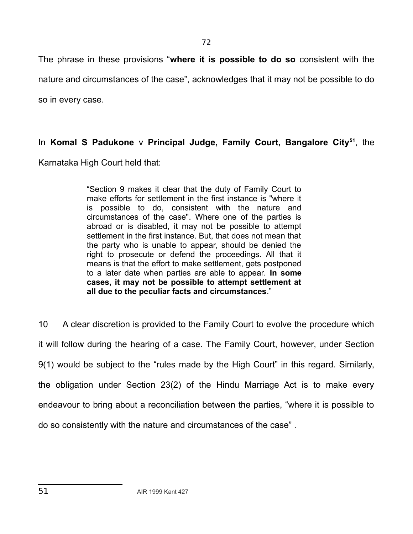The phrase in these provisions "**where it is possible to do so** consistent with the nature and circumstances of the case", acknowledges that it may not be possible to do so in every case.

## In **Komal S Padukone** v **Principal Judge, Family Court, Bangalore City[51](#page-71-0)**, the

Karnataka High Court held that:

"Section 9 makes it clear that the duty of Family Court to make efforts for settlement in the first instance is "where it is possible to do, consistent with the nature and circumstances of the case". Where one of the parties is abroad or is disabled, it may not be possible to attempt settlement in the first instance. But, that does not mean that the party who is unable to appear, should be denied the right to prosecute or defend the proceedings. All that it means is that the effort to make settlement, gets postponed to a later date when parties are able to appear. **In some cases, it may not be possible to attempt settlement at all due to the peculiar facts and circumstances**."

<span id="page-71-0"></span>10 A clear discretion is provided to the Family Court to evolve the procedure which it will follow during the hearing of a case. The Family Court, however, under Section 9(1) would be subject to the "rules made by the High Court" in this regard. Similarly, the obligation under Section 23(2) of the Hindu Marriage Act is to make every endeavour to bring about a reconciliation between the parties, "where it is possible to do so consistently with the nature and circumstances of the case" .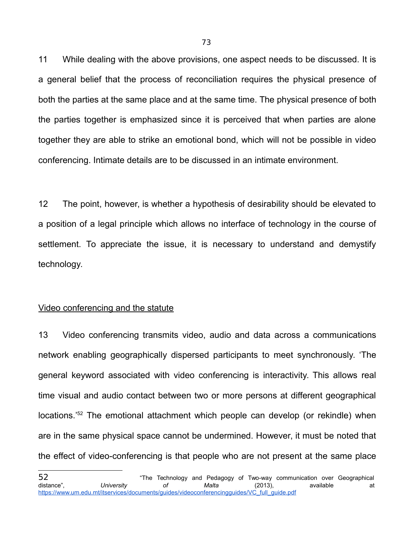11 While dealing with the above provisions, one aspect needs to be discussed. It is a general belief that the process of reconciliation requires the physical presence of both the parties at the same place and at the same time. The physical presence of both the parties together is emphasized since it is perceived that when parties are alone together they are able to strike an emotional bond, which will not be possible in video conferencing. Intimate details are to be discussed in an intimate environment.

12 The point, however, is whether a hypothesis of desirability should be elevated to a position of a legal principle which allows no interface of technology in the course of settlement. To appreciate the issue, it is necessary to understand and demystify technology.

### Video conferencing and the statute

13 Video conferencing transmits video, audio and data across a communications network enabling geographically dispersed participants to meet synchronously. 'The general keyword associated with video conferencing is interactivity. This allows real time visual and audio contact between two or more persons at different geographical locations.<sup>'[52](#page-72-0)</sup> The emotional attachment which people can develop (or rekindle) when are in the same physical space cannot be undermined. However, it must be noted that the effect of video-conferencing is that people who are not present at the same place

<span id="page-72-0"></span><sup>52</sup> "The Technology and Pedagogy of Two-way communication over Geographical distance", *University of Malta* (2013), available at [https://www.um.edu.mt/itservices/documents/guides/videoconferencingguides/VC\\_full\\_guide.pdf](https://www.um.edu.mt/itservices/documents/guides/videoconferencingguides/VC_full_guide.pdf)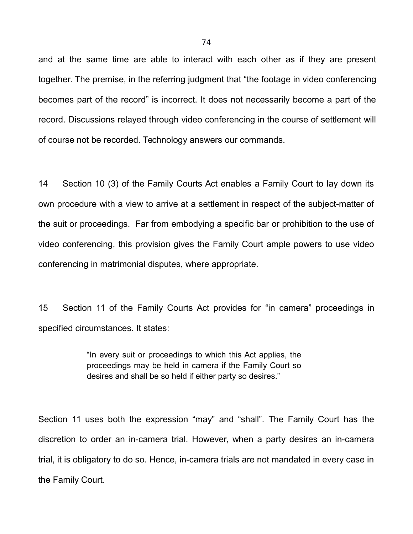and at the same time are able to interact with each other as if they are present together. The premise, in the referring judgment that "the footage in video conferencing becomes part of the record" is incorrect. It does not necessarily become a part of the record. Discussions relayed through video conferencing in the course of settlement will of course not be recorded. Technology answers our commands.

14 Section 10 (3) of the Family Courts Act enables a Family Court to lay down its own procedure with a view to arrive at a settlement in respect of the subject-matter of the suit or proceedings. Far from embodying a specific bar or prohibition to the use of video conferencing, this provision gives the Family Court ample powers to use video conferencing in matrimonial disputes, where appropriate.

15 Section 11 of the Family Courts Act provides for "in camera" proceedings in specified circumstances. It states:

> "In every suit or proceedings to which this Act applies, the proceedings may be held in camera if the Family Court so desires and shall be so held if either party so desires."

Section 11 uses both the expression "may" and "shall". The Family Court has the discretion to order an in-camera trial. However, when a party desires an in-camera trial, it is obligatory to do so. Hence, in-camera trials are not mandated in every case in the Family Court.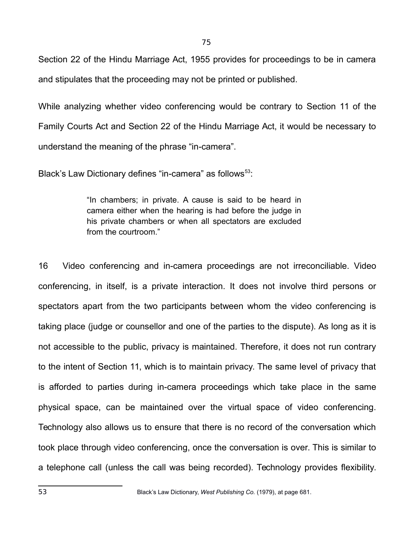Section 22 of the Hindu Marriage Act, 1955 provides for proceedings to be in camera and stipulates that the proceeding may not be printed or published.

While analyzing whether video conferencing would be contrary to Section 11 of the Family Courts Act and Section 22 of the Hindu Marriage Act, it would be necessary to understand the meaning of the phrase "in-camera".

Black's Law Dictionary defines "in-camera" as follows<sup>[53](#page-74-0)</sup>:

"In chambers; in private. A cause is said to be heard in camera either when the hearing is had before the judge in his private chambers or when all spectators are excluded from the courtroom."

<span id="page-74-0"></span>16 Video conferencing and in-camera proceedings are not irreconciliable. Video conferencing, in itself, is a private interaction. It does not involve third persons or spectators apart from the two participants between whom the video conferencing is taking place (judge or counsellor and one of the parties to the dispute). As long as it is not accessible to the public, privacy is maintained. Therefore, it does not run contrary to the intent of Section 11, which is to maintain privacy. The same level of privacy that is afforded to parties during in-camera proceedings which take place in the same physical space, can be maintained over the virtual space of video conferencing. Technology also allows us to ensure that there is no record of the conversation which took place through video conferencing, once the conversation is over. This is similar to a telephone call (unless the call was being recorded). Technology provides flexibility.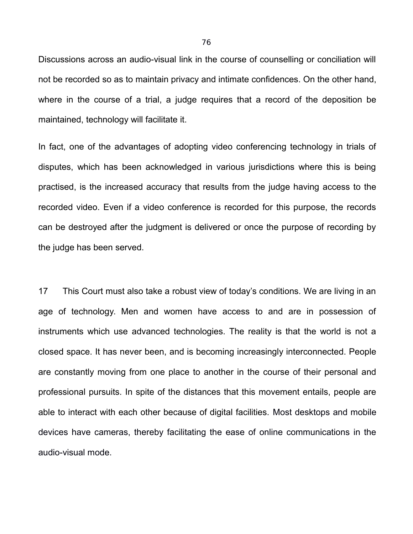Discussions across an audio-visual link in the course of counselling or conciliation will not be recorded so as to maintain privacy and intimate confidences. On the other hand, where in the course of a trial, a judge requires that a record of the deposition be maintained, technology will facilitate it.

In fact, one of the advantages of adopting video conferencing technology in trials of disputes, which has been acknowledged in various jurisdictions where this is being practised, is the increased accuracy that results from the judge having access to the recorded video. Even if a video conference is recorded for this purpose, the records can be destroyed after the judgment is delivered or once the purpose of recording by the judge has been served.

17 This Court must also take a robust view of today's conditions. We are living in an age of technology. Men and women have access to and are in possession of instruments which use advanced technologies. The reality is that the world is not a closed space. It has never been, and is becoming increasingly interconnected. People are constantly moving from one place to another in the course of their personal and professional pursuits. In spite of the distances that this movement entails, people are able to interact with each other because of digital facilities. Most desktops and mobile devices have cameras, thereby facilitating the ease of online communications in the audio-visual mode.

76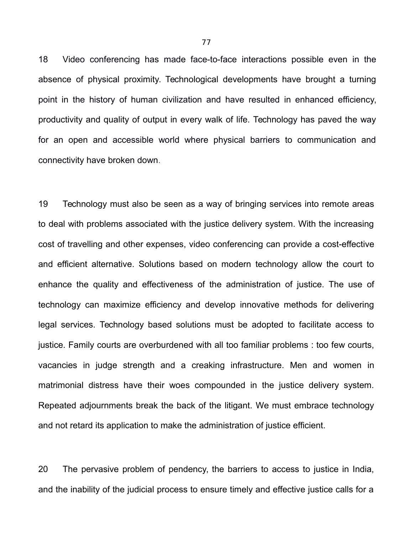18 Video conferencing has made face-to-face interactions possible even in the absence of physical proximity. Technological developments have brought a turning point in the history of human civilization and have resulted in enhanced efficiency, productivity and quality of output in every walk of life. Technology has paved the way for an open and accessible world where physical barriers to communication and connectivity have broken down.

19 Technology must also be seen as a way of bringing services into remote areas to deal with problems associated with the justice delivery system. With the increasing cost of travelling and other expenses, video conferencing can provide a cost-effective and efficient alternative. Solutions based on modern technology allow the court to enhance the quality and effectiveness of the administration of justice. The use of technology can maximize efficiency and develop innovative methods for delivering legal services. Technology based solutions must be adopted to facilitate access to justice. Family courts are overburdened with all too familiar problems : too few courts, vacancies in judge strength and a creaking infrastructure. Men and women in matrimonial distress have their woes compounded in the justice delivery system. Repeated adjournments break the back of the litigant. We must embrace technology and not retard its application to make the administration of justice efficient.

20 The pervasive problem of pendency, the barriers to access to justice in India, and the inability of the judicial process to ensure timely and effective justice calls for a

77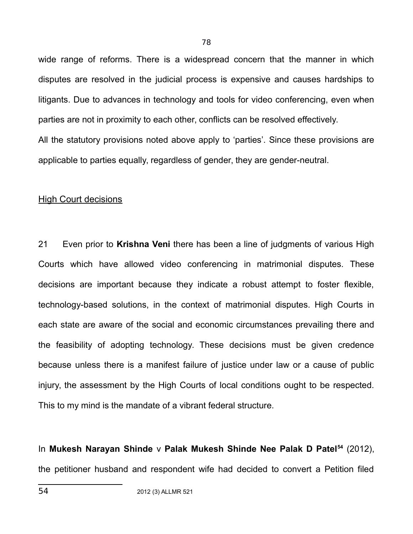wide range of reforms. There is a widespread concern that the manner in which disputes are resolved in the judicial process is expensive and causes hardships to litigants. Due to advances in technology and tools for video conferencing, even when parties are not in proximity to each other, conflicts can be resolved effectively. All the statutory provisions noted above apply to 'parties'. Since these provisions are applicable to parties equally, regardless of gender, they are gender-neutral.

#### High Court decisions

21 Even prior to **Krishna Veni** there has been a line of judgments of various High Courts which have allowed video conferencing in matrimonial disputes. These decisions are important because they indicate a robust attempt to foster flexible, technology-based solutions, in the context of matrimonial disputes. High Courts in each state are aware of the social and economic circumstances prevailing there and the feasibility of adopting technology. These decisions must be given credence because unless there is a manifest failure of justice under law or a cause of public injury, the assessment by the High Courts of local conditions ought to be respected. This to my mind is the mandate of a vibrant federal structure.

<span id="page-77-0"></span>In **Mukesh Narayan Shinde** v **Palak Mukesh Shinde Nee Palak D Patel[54](#page-77-0)** (2012), the petitioner husband and respondent wife had decided to convert a Petition filed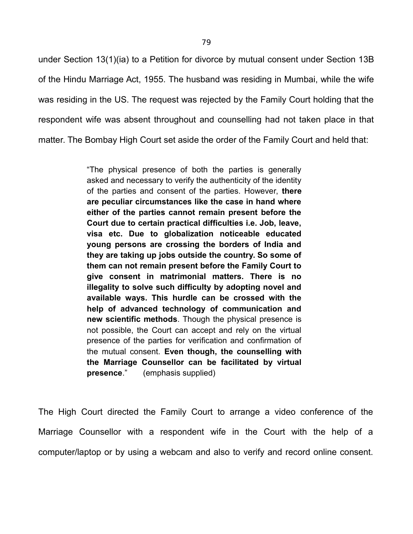under Section 13(1)(ia) to a Petition for divorce by mutual consent under Section 13B of the Hindu Marriage Act, 1955. The husband was residing in Mumbai, while the wife was residing in the US. The request was rejected by the Family Court holding that the respondent wife was absent throughout and counselling had not taken place in that matter. The Bombay High Court set aside the order of the Family Court and held that:

> "The physical presence of both the parties is generally asked and necessary to verify the authenticity of the identity of the parties and consent of the parties. However, **there are peculiar circumstances like the case in hand where either of the parties cannot remain present before the Court due to certain practical difficulties i.e. Job, leave, visa etc. Due to globalization noticeable educated young persons are crossing the borders of India and they are taking up jobs outside the country. So some of them can not remain present before the Family Court to give consent in matrimonial matters. There is no illegality to solve such difficulty by adopting novel and available ways. This hurdle can be crossed with the help of advanced technology of communication and new scientific methods**. Though the physical presence is not possible, the Court can accept and rely on the virtual presence of the parties for verification and confirmation of the mutual consent. **Even though, the counselling with the Marriage Counsellor can be facilitated by virtual presence**." (emphasis supplied)

The High Court directed the Family Court to arrange a video conference of the Marriage Counsellor with a respondent wife in the Court with the help of a computer/laptop or by using a webcam and also to verify and record online consent.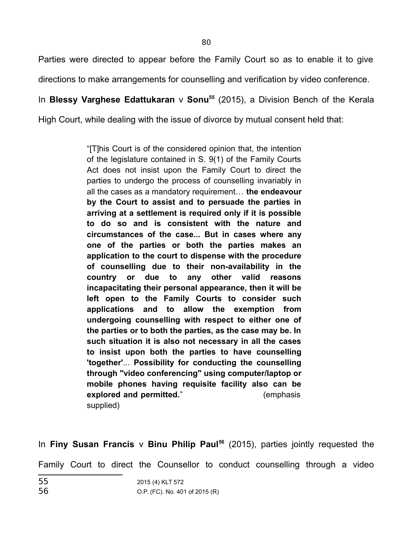Parties were directed to appear before the Family Court so as to enable it to give directions to make arrangements for counselling and verification by video conference.

In **Blessy Varghese Edattukaran** v **Sonu[55](#page-79-0)** (2015), a Division Bench of the Kerala

High Court, while dealing with the issue of divorce by mutual consent held that:

"[T]his Court is of the considered opinion that, the intention of the legislature contained in S. 9(1) of the Family Courts Act does not insist upon the Family Court to direct the parties to undergo the process of counselling invariably in all the cases as a mandatory requirement… **the endeavour by the Court to assist and to persuade the parties in arriving at a settlement is required only if it is possible to do so and is consistent with the nature and circumstances of the case... But in cases where any one of the parties or both the parties makes an application to the court to dispense with the procedure of counselling due to their non-availability in the country or due to any other valid reasons incapacitating their personal appearance, then it will be left open to the Family Courts to consider such applications and to allow the exemption from undergoing counselling with respect to either one of the parties or to both the parties, as the case may be. In such situation it is also not necessary in all the cases to insist upon both the parties to have counselling 'together'**... **Possibility for conducting the counselling through "video conferencing" using computer/laptop or mobile phones having requisite facility also can be explored and permitted.**" (emphasis supplied)

In **Finy Susan Francis** v **Binu Philip Paul[56](#page-79-1)** (2015), parties jointly requested the Family Court to direct the Counsellor to conduct counselling through a video

<span id="page-79-1"></span><span id="page-79-0"></span>

| 55 | 2015 (4) KLT 572               |
|----|--------------------------------|
| 56 | O.P. (FC). No. 401 of 2015 (R) |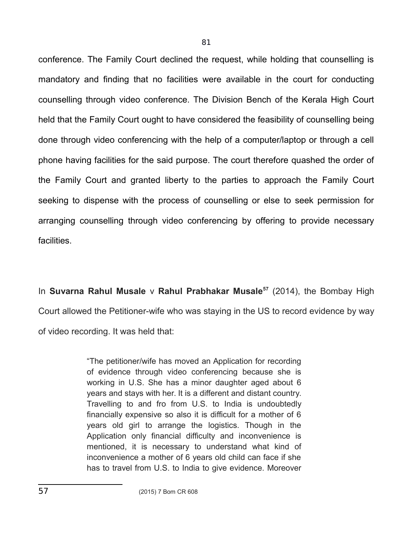conference. The Family Court declined the request, while holding that counselling is mandatory and finding that no facilities were available in the court for conducting counselling through video conference. The Division Bench of the Kerala High Court held that the Family Court ought to have considered the feasibility of counselling being done through video conferencing with the help of a computer/laptop or through a cell phone having facilities for the said purpose. The court therefore quashed the order of the Family Court and granted liberty to the parties to approach the Family Court seeking to dispense with the process of counselling or else to seek permission for arranging counselling through video conferencing by offering to provide necessary facilities.

In **Suvarna Rahul Musale** v **Rahul Prabhakar Musale[57](#page-80-0)** (2014), the Bombay High Court allowed the Petitioner-wife who was staying in the US to record evidence by way of video recording. It was held that:

> <span id="page-80-0"></span>"The petitioner/wife has moved an Application for recording of evidence through video conferencing because she is working in U.S. She has a minor daughter aged about 6 years and stays with her. It is a different and distant country. Travelling to and fro from U.S. to India is undoubtedly financially expensive so also it is difficult for a mother of 6 years old girl to arrange the logistics. Though in the Application only financial difficulty and inconvenience is mentioned, it is necessary to understand what kind of inconvenience a mother of 6 years old child can face if she has to travel from U.S. to India to give evidence. Moreover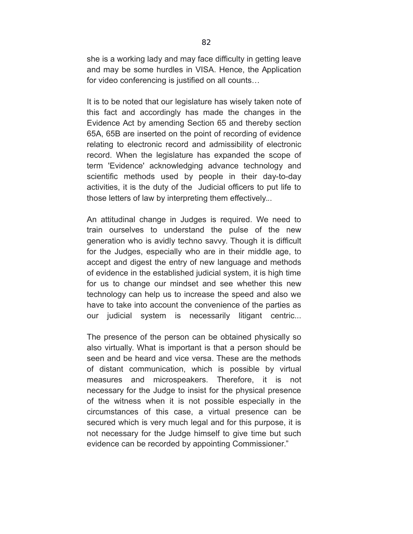she is a working lady and may face difficulty in getting leave and may be some hurdles in VISA. Hence, the Application for video conferencing is justified on all counts…

It is to be noted that our legislature has wisely taken note of this fact and accordingly has made the changes in the Evidence Act by amending Section 65 and thereby section 65A, 65B are inserted on the point of recording of evidence relating to electronic record and admissibility of electronic record. When the legislature has expanded the scope of term 'Evidence' acknowledging advance technology and scientific methods used by people in their day-to-day activities, it is the duty of the Judicial officers to put life to those letters of law by interpreting them effectively...

An attitudinal change in Judges is required. We need to train ourselves to understand the pulse of the new generation who is avidly techno savvy. Though it is difficult for the Judges, especially who are in their middle age, to accept and digest the entry of new language and methods of evidence in the established judicial system, it is high time for us to change our mindset and see whether this new technology can help us to increase the speed and also we have to take into account the convenience of the parties as our judicial system is necessarily litigant centric...

The presence of the person can be obtained physically so also virtually. What is important is that a person should be seen and be heard and vice versa. These are the methods of distant communication, which is possible by virtual measures and microspeakers. Therefore, it is not necessary for the Judge to insist for the physical presence of the witness when it is not possible especially in the circumstances of this case, a virtual presence can be secured which is very much legal and for this purpose, it is not necessary for the Judge himself to give time but such evidence can be recorded by appointing Commissioner."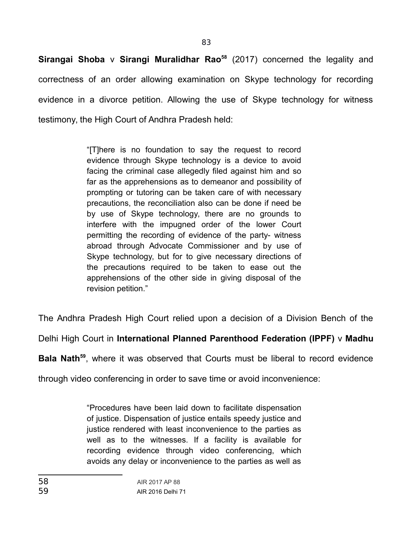83

**Sirangai Shoba** v **Sirangi Muralidhar Rao[58](#page-82-0)** (2017) concerned the legality and correctness of an order allowing examination on Skype technology for recording evidence in a divorce petition. Allowing the use of Skype technology for witness testimony, the High Court of Andhra Pradesh held:

> "[T]here is no foundation to say the request to record evidence through Skype technology is a device to avoid facing the criminal case allegedly filed against him and so far as the apprehensions as to demeanor and possibility of prompting or tutoring can be taken care of with necessary precautions, the reconciliation also can be done if need be by use of Skype technology, there are no grounds to interfere with the impugned order of the lower Court permitting the recording of evidence of the party- witness abroad through Advocate Commissioner and by use of Skype technology, but for to give necessary directions of the precautions required to be taken to ease out the apprehensions of the other side in giving disposal of the revision petition."

The Andhra Pradesh High Court relied upon a decision of a Division Bench of the

Delhi High Court in **International Planned Parenthood Federation (IPPF)** v **Madhu**

**Bala Nath[59](#page-82-1)**, where it was observed that Courts must be liberal to record evidence

through video conferencing in order to save time or avoid inconvenience:

<span id="page-82-1"></span><span id="page-82-0"></span>"Procedures have been laid down to facilitate dispensation of justice. Dispensation of justice entails speedy justice and justice rendered with least inconvenience to the parties as well as to the witnesses. If a facility is available for recording evidence through video conferencing, which avoids any delay or inconvenience to the parties as well as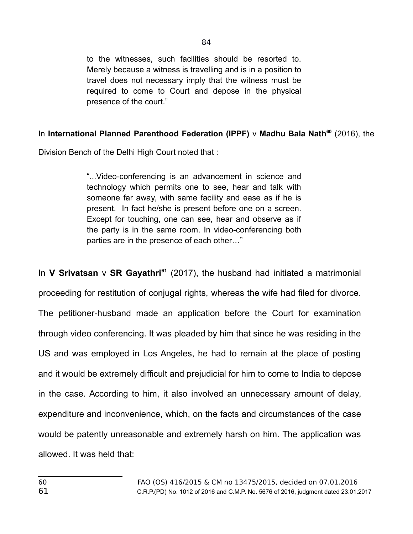to the witnesses, such facilities should be resorted to. Merely because a witness is travelling and is in a position to travel does not necessary imply that the witness must be required to come to Court and depose in the physical presence of the court."

## In **International Planned Parenthood Federation (IPPF)** v **Madhu Bala Nath[60](#page-83-0)** (2016), the

Division Bench of the Delhi High Court noted that :

"...Video-conferencing is an advancement in science and technology which permits one to see, hear and talk with someone far away, with same facility and ease as if he is present. In fact he/she is present before one on a screen. Except for touching, one can see, hear and observe as if the party is in the same room. In video-conferencing both parties are in the presence of each other…"

<span id="page-83-1"></span><span id="page-83-0"></span>In **V Srivatsan** v **SR Gayathri[61](#page-83-1)** (2017), the husband had initiated a matrimonial proceeding for restitution of conjugal rights, whereas the wife had filed for divorce. The petitioner-husband made an application before the Court for examination through video conferencing. It was pleaded by him that since he was residing in the US and was employed in Los Angeles, he had to remain at the place of posting and it would be extremely difficult and prejudicial for him to come to India to depose in the case. According to him, it also involved an unnecessary amount of delay, expenditure and inconvenience, which, on the facts and circumstances of the case would be patently unreasonable and extremely harsh on him. The application was allowed. It was held that: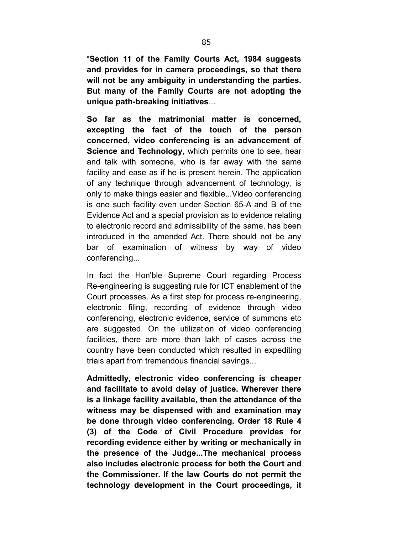"**Section 11 of the Family Courts Act, 1984 suggests and provides for in camera proceedings, so that there will not be any ambiguity in understanding the parties. But many of the Family Courts are not adopting the unique path-breaking initiatives**...

**So far as the matrimonial matter is concerned, excepting the fact of the touch of the person concerned, video conferencing is an advancement of Science and Technology, which permits one to see, hear** and talk with someone, who is far away with the same facility and ease as if he is present herein. The application of any technique through advancement of technology, is only to make things easier and flexible...Video conferencing is one such facility even under Section 65-A and B of the Evidence Act and a special provision as to evidence relating to electronic record and admissibility of the same, has been introduced in the amended Act. There should not be any bar of examination of witness by way of video conferencing...

In fact the Hon'ble Supreme Court regarding Process Re-engineering is suggesting rule for ICT enablement of the Court processes. As a first step for process re-engineering, electronic filing, recording of evidence through video conferencing, electronic evidence, service of summons etc are suggested. On the utilization of video conferencing facilities, there are more than lakh of cases across the country have been conducted which resulted in expediting trials apart from tremendous financial savings...

**Admittedly, electronic video conferencing is cheaper and facilitate to avoid delay of justice. Wherever there is a linkage facility available, then the attendance of the witness may be dispensed with and examination may be done through video conferencing. Order 18 Rule 4 (3) of the Code of Civil Procedure provides for recording evidence either by writing or mechanically in the presence of the Judge...The mechanical process also includes electronic process for both the Court and the Commissioner. If the law Courts do not permit the technology development in the Court proceedings, it**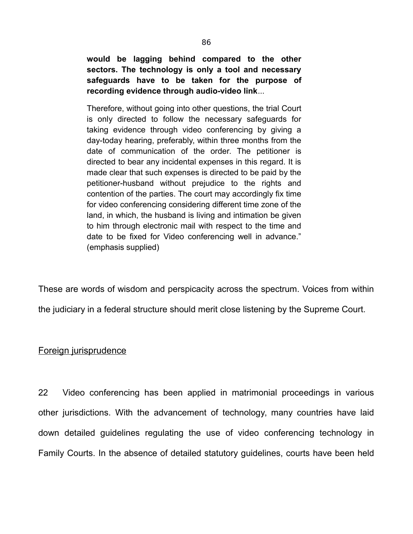**would be lagging behind compared to the other sectors. The technology is only a tool and necessary safeguards have to be taken for the purpose of recording evidence through audio-video link**...

Therefore, without going into other questions, the trial Court is only directed to follow the necessary safeguards for taking evidence through video conferencing by giving a day-today hearing, preferably, within three months from the date of communication of the order. The petitioner is directed to bear any incidental expenses in this regard. It is made clear that such expenses is directed to be paid by the petitioner-husband without prejudice to the rights and contention of the parties. The court may accordingly fix time for video conferencing considering different time zone of the land, in which, the husband is living and intimation be given to him through electronic mail with respect to the time and date to be fixed for Video conferencing well in advance." (emphasis supplied)

These are words of wisdom and perspicacity across the spectrum. Voices from within the judiciary in a federal structure should merit close listening by the Supreme Court.

## Foreign jurisprudence

22 Video conferencing has been applied in matrimonial proceedings in various other jurisdictions. With the advancement of technology, many countries have laid down detailed guidelines regulating the use of video conferencing technology in Family Courts. In the absence of detailed statutory guidelines, courts have been held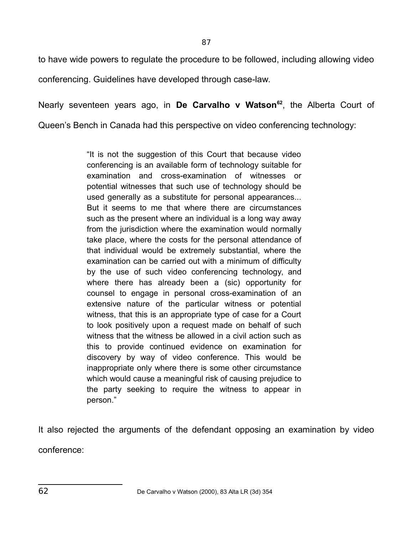87

to have wide powers to regulate the procedure to be followed, including allowing video conferencing. Guidelines have developed through case-law.

Nearly seventeen years ago, in **De Carvalho v Watson[62](#page-86-0)**, the Alberta Court of Queen's Bench in Canada had this perspective on video conferencing technology:

> "It is not the suggestion of this Court that because video conferencing is an available form of technology suitable for examination and cross-examination of witnesses or potential witnesses that such use of technology should be used generally as a substitute for personal appearances... But it seems to me that where there are circumstances such as the present where an individual is a long way away from the jurisdiction where the examination would normally take place, where the costs for the personal attendance of that individual would be extremely substantial, where the examination can be carried out with a minimum of difficulty by the use of such video conferencing technology, and where there has already been a (sic) opportunity for counsel to engage in personal cross-examination of an extensive nature of the particular witness or potential witness, that this is an appropriate type of case for a Court to look positively upon a request made on behalf of such witness that the witness be allowed in a civil action such as this to provide continued evidence on examination for discovery by way of video conference. This would be inappropriate only where there is some other circumstance which would cause a meaningful risk of causing prejudice to the party seeking to require the witness to appear in person."

<span id="page-86-0"></span>It also rejected the arguments of the defendant opposing an examination by video conference: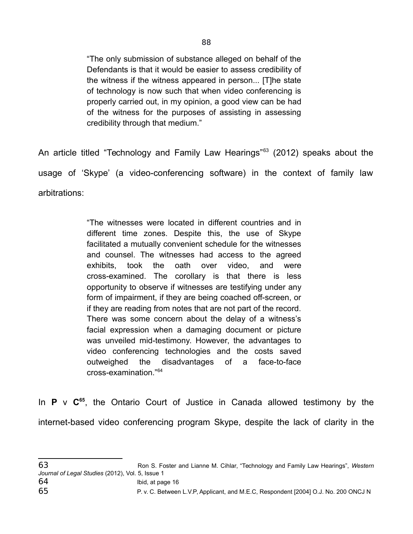"The only submission of substance alleged on behalf of the Defendants is that it would be easier to assess credibility of the witness if the witness appeared in person... [T]he state of technology is now such that when video conferencing is properly carried out, in my opinion, a good view can be had of the witness for the purposes of assisting in assessing credibility through that medium."

An article titled "Technology and Family Law Hearings"<sup>[63](#page-87-0)</sup> (2012) speaks about the usage of 'Skype' (a video-conferencing software) in the context of family law arbitrations:

> "The witnesses were located in different countries and in different time zones. Despite this, the use of Skype facilitated a mutually convenient schedule for the witnesses and counsel. The witnesses had access to the agreed exhibits, took the oath over video, and were cross-examined. The corollary is that there is less opportunity to observe if witnesses are testifying under any form of impairment, if they are being coached off-screen, or if they are reading from notes that are not part of the record. There was some concern about the delay of a witness's facial expression when a damaging document or picture was unveiled mid-testimony. However, the advantages to video conferencing technologies and the costs saved outweighed the disadvantages of a face-to-face cross-examination."[64](#page-87-1)

In **P** v **C[65](#page-87-2)**, the Ontario Court of Justice in Canada allowed testimony by the internet-based video conferencing program Skype, despite the lack of clarity in the

<span id="page-87-2"></span><span id="page-87-1"></span><span id="page-87-0"></span><sup>63</sup> Ron S. Foster and Lianne M. Cihlar, "Technology and Family Law Hearings", *Western Journal of Legal Studies* (2012), Vol. 5, Issue 1 64 Ibid, at page 16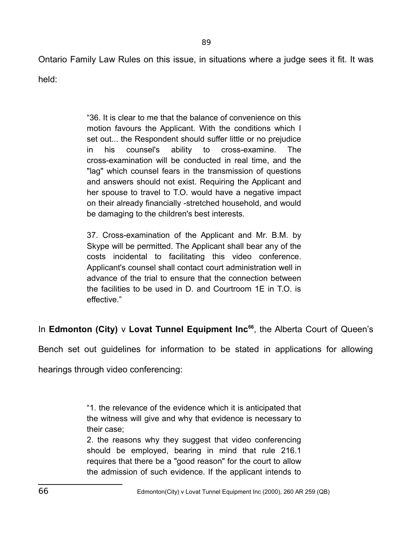Ontario Family Law Rules on this issue, in situations where a judge sees it fit. It was

89

held:

"36. It is clear to me that the balance of convenience on this motion favours the Applicant. With the conditions which I set out... the Respondent should suffer little or no prejudice in his counsel's ability to cross-examine. The cross-examination will be conducted in real time, and the "lag" which counsel fears in the transmission of questions and answers should not exist. Requiring the Applicant and her spouse to travel to T.O. would have a negative impact on their already financially -stretched household, and would be damaging to the children's best interests.

37. Cross-examination of the Applicant and Mr. B.M. by Skype will be permitted. The Applicant shall bear any of the costs incidental to facilitating this video conference. Applicant's counsel shall contact court administration well in advance of the trial to ensure that the connection between the facilities to be used in D. and Courtroom 1E in T.O. is effective."

In **Edmonton (City)** v **Lovat Tunnel Equipment Inc[66](#page-88-0)**, the Alberta Court of Queen's

Bench set out guidelines for information to be stated in applications for allowing

hearings through video conferencing:

"1. the relevance of the evidence which it is anticipated that the witness will give and why that evidence is necessary to their case;

<span id="page-88-0"></span>2. the reasons why they suggest that video conferencing should be employed, bearing in mind that rule 216.1 requires that there be a "good reason" for the court to allow the admission of such evidence. If the applicant intends to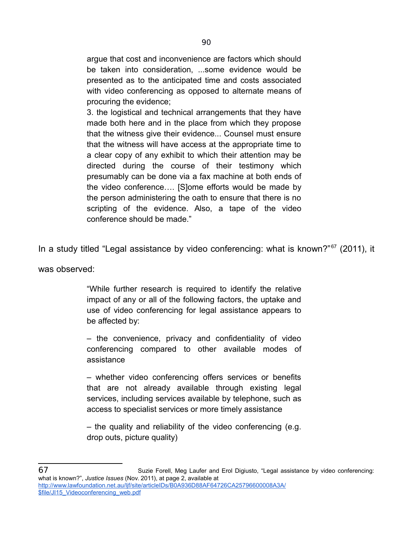argue that cost and inconvenience are factors which should be taken into consideration, ...some evidence would be presented as to the anticipated time and costs associated with video conferencing as opposed to alternate means of procuring the evidence;

3. the logistical and technical arrangements that they have made both here and in the place from which they propose that the witness give their evidence... Counsel must ensure that the witness will have access at the appropriate time to a clear copy of any exhibit to which their attention may be directed during the course of their testimony which presumably can be done via a fax machine at both ends of the video conference…. [S]ome efforts would be made by the person administering the oath to ensure that there is no scripting of the evidence. Also, a tape of the video conference should be made."

In a study titled "Legal assistance by video conferencing: what is known?"<sup>[67](#page-89-0)</sup> (2011), it

was observed:

"While further research is required to identify the relative impact of any or all of the following factors, the uptake and use of video conferencing for legal assistance appears to be affected by:

– the convenience, privacy and confidentiality of video conferencing compared to other available modes of assistance

– whether video conferencing offers services or benefits that are not already available through existing legal services, including services available by telephone, such as access to specialist services or more timely assistance

– the quality and reliability of the video conferencing (e.g. drop outs, picture quality)

<span id="page-89-0"></span><sup>67</sup> Suzie Forell, Meg Laufer and Erol Digiusto, "Legal assistance by video conferencing: what is known?", *Justice Issues* (Nov. 2011), at page 2, available at [http://www.lawfoundation.net.au/ljf/site/articleIDs/B0A936D88AF64726CA25796600008A3A/](http://www.lawfoundation.net.au/ljf/site/articleIDs/B0A936D88AF64726CA25796600008A3A/$file/JI15_Videoconferencing_web.pdf) [\\$file/JI15\\_Videoconferencing\\_web.pdf](http://www.lawfoundation.net.au/ljf/site/articleIDs/B0A936D88AF64726CA25796600008A3A/$file/JI15_Videoconferencing_web.pdf)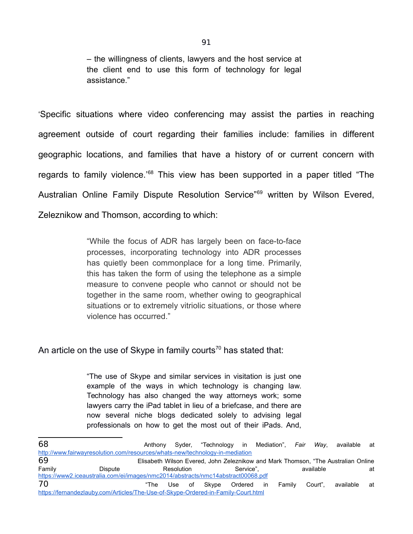– the willingness of clients, lawyers and the host service at the client end to use this form of technology for legal assistance."

'Specific situations where video conferencing may assist the parties in reaching agreement outside of court regarding their families include: families in different geographic locations, and families that have a history of or current concern with regards to family violence.<sup>88</sup> This view has been supported in a paper titled "The Australian Online Family Dispute Resolution Service<sup>"[69](#page-90-1)</sup> written by Wilson Evered, Zeleznikow and Thomson, according to which:

> "While the focus of ADR has largely been on face-to-face processes, incorporating technology into ADR processes has quietly been commonplace for a long time. Primarily, this has taken the form of using the telephone as a simple measure to convene people who cannot or should not be together in the same room, whether owing to geographical situations or to extremely vitriolic situations, or those where violence has occurred."

An article on the use of Skype in family courts<sup>[70](#page-90-2)</sup> has stated that:

"The use of Skype and similar services in visitation is just one example of the ways in which technology is changing law. Technology has also changed the way attorneys work; some lawyers carry the iPad tablet in lieu of a briefcase, and there are now several niche blogs dedicated solely to advising legal professionals on how to get the most out of their iPads. And,

<span id="page-90-2"></span><span id="page-90-1"></span><span id="page-90-0"></span>

| 68                                                                               |                                                                                   | Anthony |            |  |           |  |  | Syder, "Technology in Mediation", Fair Way, | available                                                                         | at   |  |
|----------------------------------------------------------------------------------|-----------------------------------------------------------------------------------|---------|------------|--|-----------|--|--|---------------------------------------------|-----------------------------------------------------------------------------------|------|--|
| http://www.fairwayresolution.com/resources/whats-new/technology-in-mediation     |                                                                                   |         |            |  |           |  |  |                                             |                                                                                   |      |  |
| 69                                                                               |                                                                                   |         |            |  |           |  |  |                                             | Elisabeth Wilson Evered, John Zeleznikow and Mark Thomson, "The Australian Online |      |  |
| Family                                                                           | Dispute                                                                           |         | Resolution |  | Service". |  |  | available                                   |                                                                                   | at   |  |
| https://www2.iceaustralia.com/ei/images/nmc2014/abstracts/nmc14abstract00068.pdf |                                                                                   |         |            |  |           |  |  |                                             |                                                                                   |      |  |
| 70                                                                               |                                                                                   |         |            |  |           |  |  | "The Use of Skype Ordered in Family Court", | available                                                                         | at - |  |
|                                                                                  | https://fernandezlauby.com/Articles/The-Use-of-Skype-Ordered-in-Family-Court.html |         |            |  |           |  |  |                                             |                                                                                   |      |  |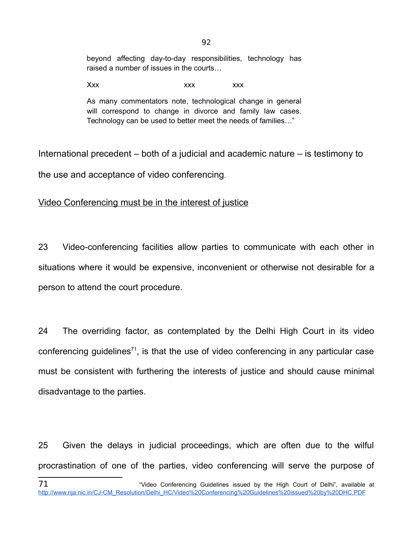beyond affecting day-to-day responsibilities, technology has raised a number of issues in the courts…

Xxx xxx xxx xxx

As many commentators note, technological change in general will correspond to change in divorce and family law cases. Technology can be used to better meet the needs of families…"

International precedent – both of a judicial and academic nature – is testimony to the use and acceptance of video conferencing.

# Video Conferencing must be in the interest of justice

23 Video-conferencing facilities allow parties to communicate with each other in situations where it would be expensive, inconvenient or otherwise not desirable for a person to attend the court procedure.

24 The overriding factor, as contemplated by the Delhi High Court in its video conferencing guidelines<sup>[71](#page-91-0)</sup>, is that the use of video conferencing in any particular case must be consistent with furthering the interests of justice and should cause minimal disadvantage to the parties.

<span id="page-91-0"></span>25 Given the delays in judicial proceedings, which are often due to the wilful procrastination of one of the parties, video conferencing will serve the purpose of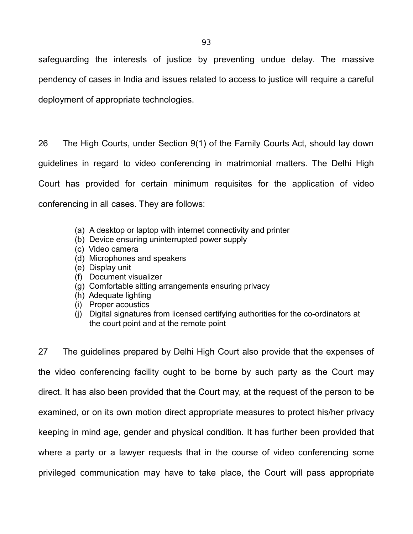safeguarding the interests of justice by preventing undue delay. The massive pendency of cases in India and issues related to access to justice will require a careful deployment of appropriate technologies.

26 The High Courts, under Section 9(1) of the Family Courts Act, should lay down guidelines in regard to video conferencing in matrimonial matters. The Delhi High Court has provided for certain minimum requisites for the application of video conferencing in all cases. They are follows:

- (a) A desktop or laptop with internet connectivity and printer
- (b) Device ensuring uninterrupted power supply
- (c) Video camera
- (d) Microphones and speakers
- (e) Display unit
- (f) Document visualizer
- (g) Comfortable sitting arrangements ensuring privacy
- (h) Adequate lighting
- (i) Proper acoustics
- (j) Digital signatures from licensed certifying authorities for the co-ordinators at the court point and at the remote point

27 The guidelines prepared by Delhi High Court also provide that the expenses of the video conferencing facility ought to be borne by such party as the Court may direct. It has also been provided that the Court may, at the request of the person to be examined, or on its own motion direct appropriate measures to protect his/her privacy keeping in mind age, gender and physical condition. It has further been provided that where a party or a lawyer requests that in the course of video conferencing some privileged communication may have to take place, the Court will pass appropriate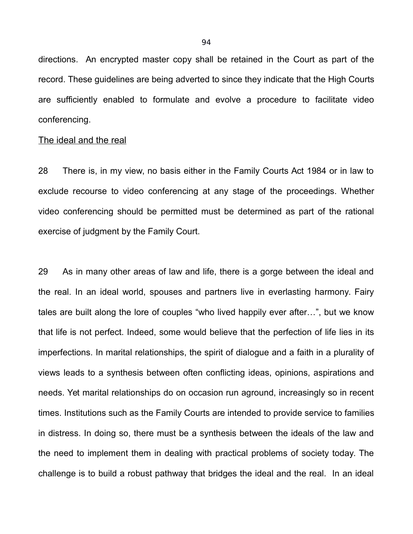directions. An encrypted master copy shall be retained in the Court as part of the record. These guidelines are being adverted to since they indicate that the High Courts are sufficiently enabled to formulate and evolve a procedure to facilitate video conferencing.

#### The ideal and the real

28 There is, in my view, no basis either in the Family Courts Act 1984 or in law to exclude recourse to video conferencing at any stage of the proceedings. Whether video conferencing should be permitted must be determined as part of the rational exercise of judgment by the Family Court.

29 As in many other areas of law and life, there is a gorge between the ideal and the real. In an ideal world, spouses and partners live in everlasting harmony. Fairy tales are built along the lore of couples "who lived happily ever after…", but we know that life is not perfect. Indeed, some would believe that the perfection of life lies in its imperfections. In marital relationships, the spirit of dialogue and a faith in a plurality of views leads to a synthesis between often conflicting ideas, opinions, aspirations and needs. Yet marital relationships do on occasion run aground, increasingly so in recent times. Institutions such as the Family Courts are intended to provide service to families in distress. In doing so, there must be a synthesis between the ideals of the law and the need to implement them in dealing with practical problems of society today. The challenge is to build a robust pathway that bridges the ideal and the real. In an ideal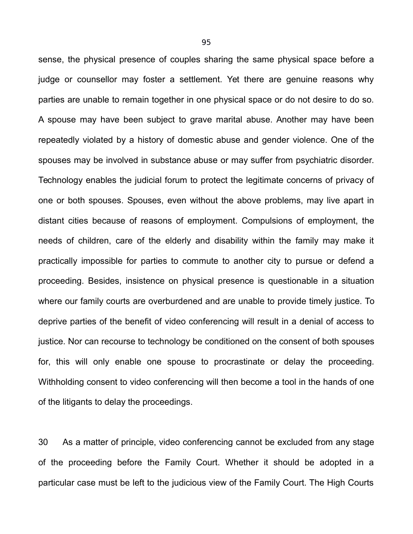sense, the physical presence of couples sharing the same physical space before a judge or counsellor may foster a settlement. Yet there are genuine reasons why parties are unable to remain together in one physical space or do not desire to do so. A spouse may have been subject to grave marital abuse. Another may have been repeatedly violated by a history of domestic abuse and gender violence. One of the spouses may be involved in substance abuse or may suffer from psychiatric disorder. Technology enables the judicial forum to protect the legitimate concerns of privacy of one or both spouses. Spouses, even without the above problems, may live apart in distant cities because of reasons of employment. Compulsions of employment, the needs of children, care of the elderly and disability within the family may make it practically impossible for parties to commute to another city to pursue or defend a proceeding. Besides, insistence on physical presence is questionable in a situation where our family courts are overburdened and are unable to provide timely justice. To deprive parties of the benefit of video conferencing will result in a denial of access to justice. Nor can recourse to technology be conditioned on the consent of both spouses for, this will only enable one spouse to procrastinate or delay the proceeding. Withholding consent to video conferencing will then become a tool in the hands of one of the litigants to delay the proceedings.

30 As a matter of principle, video conferencing cannot be excluded from any stage of the proceeding before the Family Court. Whether it should be adopted in a particular case must be left to the judicious view of the Family Court. The High Courts